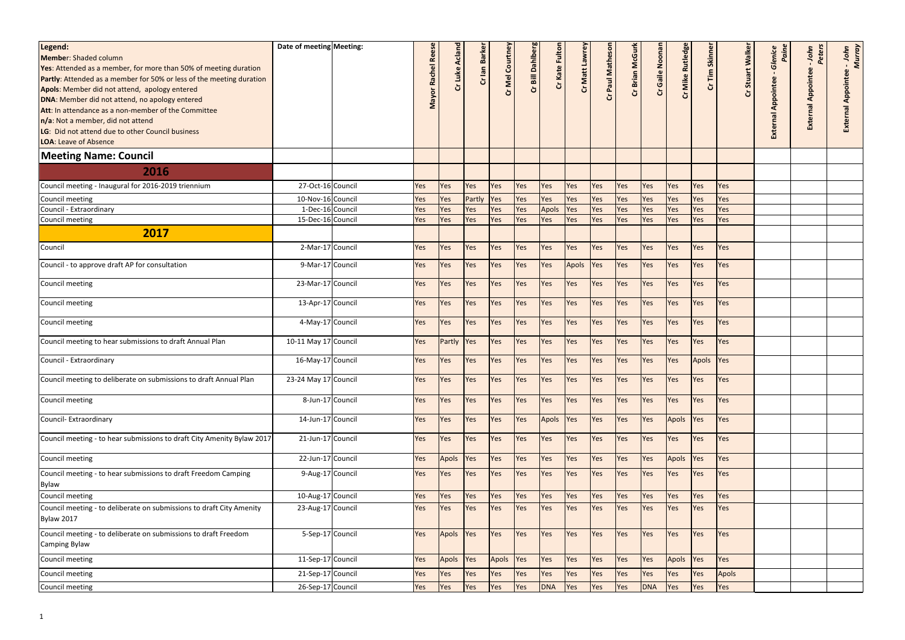| Legend:                                                                            | Date of meeting Meeting: |           |                |              |                 |                  |               |                                         |             |                 |                 |                  |               |        |                 |                           |                  |
|------------------------------------------------------------------------------------|--------------------------|-----------|----------------|--------------|-----------------|------------------|---------------|-----------------------------------------|-------------|-----------------|-----------------|------------------|---------------|--------|-----------------|---------------------------|------------------|
| Member: Shaded column                                                              |                          | <b>Re</b> | Cr Luke Acland | Cr lan Barke | Cr Mel Courtney | Cr Bill Dahlberg | Cr Kate Fulto | Cr Matt Lawrey                          |             | Cr Brian McGurl | Cr Gaile Noonar | Cr Mike Rutledge | Cr Tim Skinne | alkei  | Glenice<br>Pain | Peters<br>John            | - John<br>Murray |
| <b>Yes:</b> Attended as a member, for more than 50% of meeting duration            |                          |           |                |              |                 |                  |               |                                         | Paul Mathes |                 |                 |                  |               |        |                 |                           |                  |
| Partly: Attended as a member for 50% or less of the meeting duration               |                          | Rachel    |                |              |                 |                  |               |                                         |             |                 |                 |                  |               | Stuart |                 | <b>External Appointee</b> | ppointee         |
| Apols: Member did not attend, apology entered                                      |                          |           |                |              |                 |                  |               |                                         |             |                 |                 |                  |               |        | Appointee       |                           |                  |
| DNA: Member did not attend, no apology entered                                     |                          | Mayor     |                |              |                 |                  |               |                                         |             |                 |                 |                  |               |        |                 |                           | ⋖                |
| Att: In attendance as a non-member of the Committee                                |                          |           |                |              |                 |                  |               |                                         |             |                 |                 |                  |               |        |                 |                           |                  |
| n/a: Not a member, did not attend                                                  |                          |           |                |              |                 |                  |               |                                         |             |                 |                 |                  |               |        |                 |                           |                  |
| LG: Did not attend due to other Council business                                   |                          |           |                |              |                 |                  |               |                                         |             |                 |                 |                  |               |        | External        |                           |                  |
| <b>LOA: Leave of Absence</b>                                                       |                          |           |                |              |                 |                  |               |                                         |             |                 |                 |                  |               |        |                 |                           |                  |
|                                                                                    |                          |           |                |              |                 |                  |               |                                         |             |                 |                 |                  |               |        |                 |                           |                  |
| <b>Meeting Name: Council</b>                                                       |                          |           |                |              |                 |                  |               |                                         |             |                 |                 |                  |               |        |                 |                           |                  |
| 2016                                                                               |                          |           |                |              |                 |                  |               |                                         |             |                 |                 |                  |               |        |                 |                           |                  |
| Council meeting - Inaugural for 2016-2019 triennium                                | 27-Oct-16 Council        | Yes       | Yes            | Yes          | <b>Yes</b>      | <b>Yes</b>       | Yes           | Yes                                     | <b>Yes</b>  | Yes             | Yes             | <b>Yes</b>       | Yes           | Yes    |                 |                           |                  |
| Council meeting                                                                    | 10-Nov-16 Council        | Yes       | Yes            | Partly       | Yes             | Yes              | Yes           | Yes                                     | Yes         | Yes             | Yes             | <b>Yes</b>       | Yes           | Yes    |                 |                           |                  |
| Council - Extraordinary                                                            | 1-Dec-16 Council         | Yes       | Yes            | Yes          | Yes             | Yes              | <b>Apols</b>  | Yes                                     | Yes         | Yes             | Yes             | Yes              | Yes           | Yes    |                 |                           |                  |
| Council meeting                                                                    | 15-Dec-16 Council        | Yes       | Yes            | Yes          | <b>Yes</b>      | Yes              | Yes           | Yes                                     | <b>Yes</b>  | Yes             | Yes             | <b>Yes</b>       | Yes           | Yes    |                 |                           |                  |
| 2017                                                                               |                          |           |                |              |                 |                  |               |                                         |             |                 |                 |                  |               |        |                 |                           |                  |
| Council                                                                            | 2-Mar-17 Council         | Yes       | Yes            | Yes          | <b>Yes</b>      | <b>Yes</b>       | Yes           | Yes                                     | <b>Yes</b>  | Yes             | Yes             | Yes              | Yes           | Yes    |                 |                           |                  |
| Council - to approve draft AP for consultation                                     | 9-Mar-17 Council         | Yes       | Yes            | Yes          | Yes             | Yes              | Yes           | Apols                                   | <b>Yes</b>  | Yes             | Yes             | <b>Yes</b>       | Yes           | Yes    |                 |                           |                  |
| Council meeting                                                                    | 23-Mar-17 Council        | Yes       | Yes            | Yes          | Yes             | <b>Yes</b>       | Yes           | Yes                                     | Yes         | Yes             | Yes             | <b>Yes</b>       | Yes           | Yes    |                 |                           |                  |
| Council meeting                                                                    | 13-Apr-17 Council        | Yes       | Yes            | Yes          | Yes             | Yes              | Yes           | Yes                                     | Yes         | Yes             | Yes             | <b>Yes</b>       | Yes           | Yes    |                 |                           |                  |
| Council meeting                                                                    | 4-May-17 Council         | Yes       | Yes            | Yes          | Yes             | <b>Yes</b>       | Yes           | Yes                                     | Yes         | Yes             | Yes             | <b>Yes</b>       | Yes           | Yes    |                 |                           |                  |
| Council meeting to hear submissions to draft Annual Plan                           | 10-11 May 17 Council     | Yes       | Partly         | <b>Yes</b>   | <b>Yes</b>      | <b>Yes</b>       | Yes           | Yes                                     | <b>Yes</b>  | Yes             | Yes             | <b>Yes</b>       | Yes           | Yes    |                 |                           |                  |
|                                                                                    |                          |           |                |              |                 |                  |               |                                         |             |                 |                 |                  |               |        |                 |                           |                  |
| Council - Extraordinary                                                            | 16-May-17 Council        | Yes       | <b>Yes</b>     | Yes          | Yes             | <b>Yes</b>       | Yes           | Yes                                     | Yes         | Yes             | Yes             | <b>Yes</b>       | Apols Yes     |        |                 |                           |                  |
| Council meeting to deliberate on submissions to draft Annual Plan                  | 23-24 May 17 Council     | Yes       |                |              |                 |                  |               | Yes Yes Yes Yes Yes Yes Yes Yes Yes Yes |             |                 |                 | Yes              | Yes Yes       |        |                 |                           |                  |
| Council meeting                                                                    | 8-Jun-17 Council         | Yes       | Yes            | Yes          | <b>Yes</b>      | Yes              | Yes           | Yes                                     | <b>Yes</b>  | Yes             | Yes             | <b>Yes</b>       | Yes           | Yes    |                 |                           |                  |
| Council- Extraordinary                                                             | 14-Jun-17 Council        | Yes       | <b>Yes</b>     | Yes          | <b>Yes</b>      | Yes              | Apols         | <b>Yes</b>                              | <b>Yes</b>  | Yes             | Yes             | Apols            | <b>Yes</b>    | Yes    |                 |                           |                  |
| Council meeting - to hear submissions to draft City Amenity Bylaw 2017             | 21-Jun-17 Council        | Yes       | Yes            | Yes          | <b>Yes</b>      | <b>Yes</b>       | Yes           | Yes                                     | <b>Yes</b>  | Yes             | Yes             | <b>Yes</b>       | Yes           | Yes    |                 |                           |                  |
| Council meeting                                                                    | 22-Jun-17 Council        | Yes       | Apols          | <b>Yes</b>   | <b>Yes</b>      | <b>Yes</b>       | Yes           | Yes                                     | <b>Yes</b>  | Yes             | Yes             | Apols            | Yes           | Yes    |                 |                           |                  |
| Council meeting - to hear submissions to draft Freedom Camping                     | 9-Aug-17 Council         | Yes       | Yes            | Yes          | <b>Yes</b>      | Yes              | Yes           | Yes                                     | Yes         | Yes             | Yes             | <b>Yes</b>       | Yes           | Yes    |                 |                           |                  |
| Bylaw                                                                              |                          |           |                |              |                 |                  |               |                                         |             |                 |                 |                  |               |        |                 |                           |                  |
| Council meeting                                                                    | 10-Aug-17 Council        | Yes       | Yes            | Yes          | <b>Yes</b>      | <b>Yes</b>       | Yes           | Yes                                     | <b>Yes</b>  | Yes             | Yes             | <b>Yes</b>       | Yes           | Yes    |                 |                           |                  |
| Council meeting - to deliberate on submissions to draft City Amenity<br>Bylaw 2017 | 23-Aug-17 Council        | Yes       | Yes            | Yes          | <b>Yes</b>      | <b>Yes</b>       | Yes           | Yes                                     | <b>Yes</b>  | Yes             | <b>Yes</b>      | <b>Yes</b>       | Yes           | Yes    |                 |                           |                  |
|                                                                                    |                          |           |                |              |                 |                  |               |                                         |             |                 |                 |                  |               |        |                 |                           |                  |
| Council meeting - to deliberate on submissions to draft Freedom<br>Camping Bylaw   | 5-Sep-17 Council         | Yes       | Apols Yes      |              | <b>Yes</b>      | <b>Yes</b>       | Yes           | Yes                                     | <b>Yes</b>  | Yes             | Yes             | <b>Yes</b>       | Yes           | Yes    |                 |                           |                  |
| Council meeting                                                                    | 11-Sep-17 Council        | Yes       | Apols          | Yes          | Apols           | <b>Yes</b>       | Yes           | Yes                                     | <b>Yes</b>  | Yes             | Yes             | Apols            | <b>Yes</b>    | Yes    |                 |                           |                  |
| Council meeting                                                                    | 21-Sep-17 Council        | Yes       | Yes            | Yes          | <b>Yes</b>      | Yes              | Yes           | Yes                                     | Yes         | Yes             | Yes             | <b>Yes</b>       | Yes           | Apols  |                 |                           |                  |
| Council meeting                                                                    | 26-Sep-17 Council        | Yes       | Yes            | Yes          | <b>Yes</b>      | Yes              | <b>DNA</b>    | Yes                                     | Yes         | Yes             | <b>DNA</b>      | Yes              | Yes           | Yes    |                 |                           |                  |
|                                                                                    |                          |           |                |              |                 |                  |               |                                         |             |                 |                 |                  |               |        |                 |                           |                  |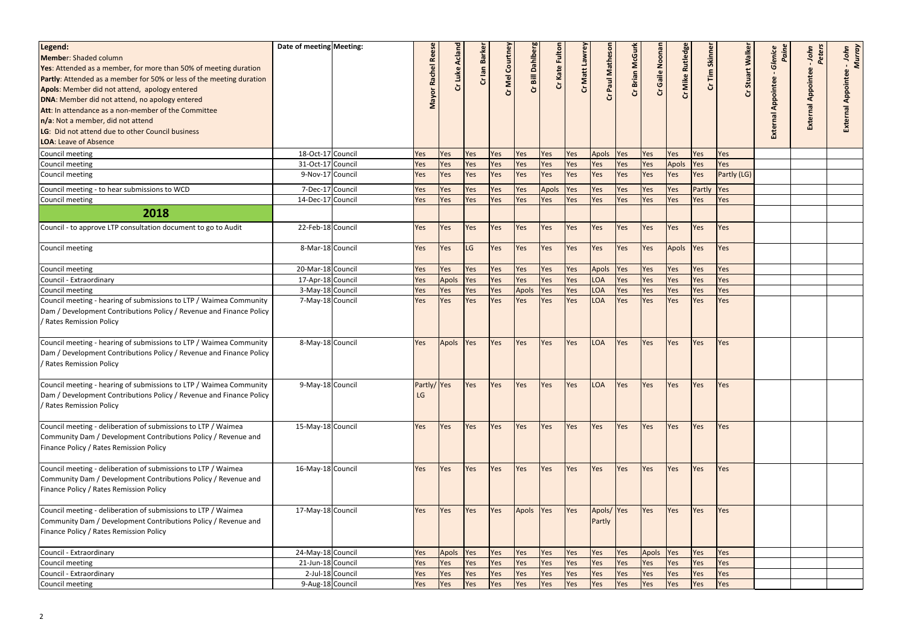|                                                                         | Date of meeting Meeting: |                  |            |                |              |                 |                  |               |                |            |                 |              |              |               |             |                 |                           |                  |
|-------------------------------------------------------------------------|--------------------------|------------------|------------|----------------|--------------|-----------------|------------------|---------------|----------------|------------|-----------------|--------------|--------------|---------------|-------------|-----------------|---------------------------|------------------|
| Legend:                                                                 |                          |                  |            | Cr Luke Acland | Cr lan Barke | Cr Mel Courtney | Cr Bill Dahlberg | Cr Kate Fulto | Cr Matt Lawrey |            |                 | Gaile Noonar | Rutledge     | Cr Tim Skinne | Walker      | Glenice<br>Pain | Peters<br>John            | - John<br>Murray |
| Member: Shaded column                                                   |                          |                  | <b>Re</b>  |                |              |                 |                  |               |                | lathes     |                 |              |              |               |             |                 |                           |                  |
| <b>Yes:</b> Attended as a member, for more than 50% of meeting duration |                          |                  |            |                |              |                 |                  |               |                |            |                 |              |              |               |             |                 |                           |                  |
| Partly: Attended as a member for 50% or less of the meeting duration    |                          |                  | Rachel     |                |              |                 |                  |               |                | Paul M     |                 |              |              |               | Stuart      |                 |                           |                  |
| Apols: Member did not attend, apology entered                           |                          |                  |            |                |              |                 |                  |               |                |            | Cr Brian McGurk |              | Cr Mike      |               | ò           | Appointee       |                           |                  |
| DNA: Member did not attend, no apology entered                          |                          |                  | Mayor      |                |              |                 |                  |               |                |            |                 |              |              |               |             |                 |                           | ₹                |
| Att: In attendance as a non-member of the Committee                     |                          |                  |            |                |              |                 |                  |               |                |            |                 |              |              |               |             |                 | <b>External Appointee</b> |                  |
| n/a: Not a member, did not attend                                       |                          |                  |            |                |              |                 |                  |               |                |            |                 |              |              |               |             |                 |                           |                  |
| LG: Did not attend due to other Council business                        |                          |                  |            |                |              |                 |                  |               |                |            |                 |              |              |               |             | External        |                           |                  |
| <b>LOA: Leave of Absence</b>                                            |                          |                  |            |                |              |                 |                  |               |                |            |                 |              |              |               |             |                 |                           |                  |
| Council meeting                                                         | 18-Oct-17 Council        |                  | Yes        | Yes            | Yes          | Yes             | Yes              | Yes           | Yes            | Apols      | Yes             | Yes          | Yes          | Yes           | Yes         |                 |                           |                  |
| Council meeting                                                         | 31-Oct-17 Council        |                  | Yes        | Yes            | Yes          | Yes             | Yes              | Yes           | Yes            | Yes        | Yes             | Yes          | <b>Apols</b> | Yes           | Yes         |                 |                           |                  |
| Council meeting                                                         | 9-Nov-17 Council         |                  | Yes        | Yes            | Yes          | <b>Yes</b>      | Yes              | Yes           | Yes            | Yes        | Yes             | Yes          | Yes          | Yes           | Partly (LG) |                 |                           |                  |
|                                                                         |                          |                  |            |                |              |                 |                  |               |                |            |                 |              |              |               |             |                 |                           |                  |
| Council meeting - to hear submissions to WCD                            | 7-Dec-17 Council         |                  | Yes        | Yes            | Yes          | Yes             | Yes              | <b>Apols</b>  | <b>Yes</b>     | Yes        | Yes             | Yes          | Yes          | Partly        | Yes         |                 |                           |                  |
| Council meeting                                                         | 14-Dec-17 Council        |                  | Yes        | Yes            | Yes          | Yes             | Yes              | Yes           | Yes            | Yes        | Yes             | Yes          | Yes          | Yes           | Yes         |                 |                           |                  |
| 2018                                                                    |                          |                  |            |                |              |                 |                  |               |                |            |                 |              |              |               |             |                 |                           |                  |
| Council - to approve LTP consultation document to go to Audit           | 22-Feb-18 Council        |                  | Yes        | Yes            | Yes          | Yes             | Yes              | Yes           | Yes            | Yes        | Yes             | Yes          | Yes          | Yes           | Yes         |                 |                           |                  |
| Council meeting                                                         | 8-Mar-18 Council         |                  | Yes        | Yes            | LG           | <b>Yes</b>      | Yes              | Yes           | Yes            | Yes        | Yes             | Yes          | Apols        | Yes           | Yes         |                 |                           |                  |
| Council meeting                                                         | 20-Mar-18 Council        |                  | Yes        | Yes            | Yes          | Yes             | Yes              | Yes           | Yes            | Apols      | Yes             | Yes          | Yes          | Yes           | Yes         |                 |                           |                  |
| Council - Extraordinary                                                 | 17-Apr-18 Council        |                  | Yes        | <b>Apols</b>   | Yes          | Yes             | Yes              | Yes           | Yes            | <b>LOA</b> | Yes             | Yes          | Yes          | Yes           | Yes         |                 |                           |                  |
| Council meeting                                                         | 3-May-18 Council         |                  | <b>Yes</b> | Yes            | Yes          | Yes             | <b>Apols</b>     | Yes           | Yes            | LOA        | Yes             | Yes          | Yes          | Yes           | Yes         |                 |                           |                  |
| Council meeting - hearing of submissions to LTP / Waimea Community      | 7-May-18 Council         |                  | <b>Yes</b> | Yes            | Yes          | Yes             | Yes              | Yes           | Yes            | <b>LOA</b> | Yes             | Yes          | Yes          | Yes           | Yes         |                 |                           |                  |
| Dam / Development Contributions Policy / Revenue and Finance Policy     |                          |                  |            |                |              |                 |                  |               |                |            |                 |              |              |               |             |                 |                           |                  |
| Rates Remission Policy                                                  |                          |                  |            |                |              |                 |                  |               |                |            |                 |              |              |               |             |                 |                           |                  |
| Council meeting - hearing of submissions to LTP / Waimea Community      | 8-May-18 Council         |                  | <b>Yes</b> | Apols          | Yes          | <b>Yes</b>      | Yes              | Yes           | Yes            | LOA        | Yes             | Yes          | Yes          | Yes           | <b>Yes</b>  |                 |                           |                  |
| Dam / Development Contributions Policy / Revenue and Finance Policy     |                          |                  |            |                |              |                 |                  |               |                |            |                 |              |              |               |             |                 |                           |                  |
| / Rates Remission Policy                                                |                          |                  |            |                |              |                 |                  |               |                |            |                 |              |              |               |             |                 |                           |                  |
|                                                                         |                          |                  |            |                |              |                 |                  |               |                |            |                 |              |              |               |             |                 |                           |                  |
| Council meeting - hearing of submissions to LTP / Waimea Community      | 9-May-18 Council         |                  | Partly/Yes |                | Yes          | <b>Yes</b>      | Yes              | Yes           | Yes            | <b>LOA</b> | Yes             | Yes          | Yes          | Yes           | Yes         |                 |                           |                  |
| Dam / Development Contributions Policy / Revenue and Finance Policy     |                          |                  | LG         |                |              |                 |                  |               |                |            |                 |              |              |               |             |                 |                           |                  |
| / Rates Remission Policy                                                |                          |                  |            |                |              |                 |                  |               |                |            |                 |              |              |               |             |                 |                           |                  |
|                                                                         |                          |                  |            |                |              |                 |                  |               |                |            |                 |              |              |               |             |                 |                           |                  |
| Council meeting - deliberation of submissions to LTP / Waimea           | 15-May-18 Council        |                  | Yes        | Yes            | Yes          | <b>Yes</b>      | Yes              | Yes           | Yes            | Yes        | Yes             | Yes          | Yes          | Yes           | Yes         |                 |                           |                  |
| Community Dam / Development Contributions Policy / Revenue and          |                          |                  |            |                |              |                 |                  |               |                |            |                 |              |              |               |             |                 |                           |                  |
| Finance Policy / Rates Remission Policy                                 |                          |                  |            |                |              |                 |                  |               |                |            |                 |              |              |               |             |                 |                           |                  |
|                                                                         |                          |                  |            |                |              |                 |                  |               |                |            |                 |              |              |               |             |                 |                           |                  |
| Council meeting - deliberation of submissions to LTP / Waimea           | 16-May-18 Council        |                  | Yes        | Yes            | Yes          | Yes             | Yes              | Yes           | Yes            | Yes        | Yes             | Yes          | Yes          | Yes           | Yes         |                 |                           |                  |
| Community Dam / Development Contributions Policy / Revenue and          |                          |                  |            |                |              |                 |                  |               |                |            |                 |              |              |               |             |                 |                           |                  |
| Finance Policy / Rates Remission Policy                                 |                          |                  |            |                |              |                 |                  |               |                |            |                 |              |              |               |             |                 |                           |                  |
|                                                                         |                          |                  |            |                |              |                 |                  |               |                |            |                 |              |              |               |             |                 |                           |                  |
| Council meeting - deliberation of submissions to LTP / Waimea           | 17-May-18 Council        |                  | Yes        | Yes            | Yes          | Yes             | Apols            | <b>Yes</b>    | Yes            | Apols/Yes  |                 | Yes          | Yes          | Yes           | Yes         |                 |                           |                  |
| Community Dam / Development Contributions Policy / Revenue and          |                          |                  |            |                |              |                 |                  |               |                | Partly     |                 |              |              |               |             |                 |                           |                  |
| Finance Policy / Rates Remission Policy                                 |                          |                  |            |                |              |                 |                  |               |                |            |                 |              |              |               |             |                 |                           |                  |
|                                                                         |                          |                  |            |                |              |                 |                  |               |                |            |                 |              |              |               |             |                 |                           |                  |
| Council - Extraordinary                                                 | 24-May-18 Council        |                  | Yes        | Apols          | Yes          | Yes             | Yes              | Yes           | Yes            | Yes        | Yes             | <b>Apols</b> | <b>Yes</b>   | Yes           | Yes         |                 |                           |                  |
| Council meeting                                                         | 21-Jun-18 Council        |                  | Yes        | Yes            | Yes          | Yes             | Yes              | Yes           | Yes            | Yes        | Yes             | Yes          | Yes          | Yes           | Yes         |                 |                           |                  |
| Council - Extraordinary                                                 |                          | 2-Jul-18 Council | Yes        | Yes            | Yes          | Yes             | Yes              | Yes           | Yes            | Yes        | Yes             | Yes          | Yes          | Yes           | Yes         |                 |                           |                  |
| Council meeting                                                         | 9-Aug-18 Council         |                  | Yes        | Yes            | Yes          | Yes             | Yes              | Yes           | Yes            | Yes        | Yes             | Yes          | Yes          | Yes           | Yes         |                 |                           |                  |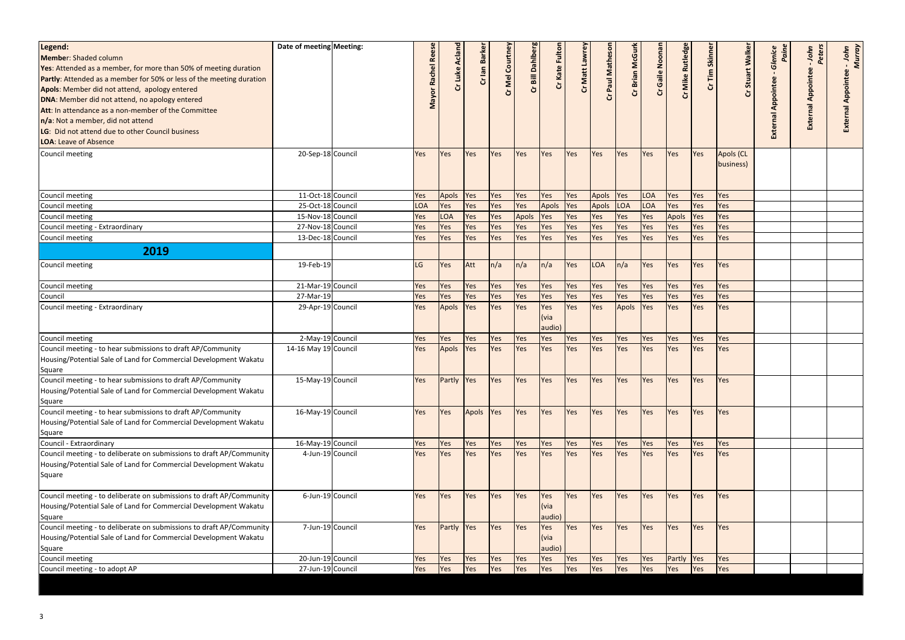| Legend:<br>Member: Shaded column<br><b>Yes:</b> Attended as a member, for more than 50% of meeting duration<br>Partly: Attended as a member for 50% or less of the meeting duration<br>Apols: Member did not attend, apology entered<br>DNA: Member did not attend, no apology entered<br>Att: In attendance as a non-member of the Committee<br>n/a: Not a member, did not attend<br>LG: Did not attend due to other Council business<br><b>LOA: Leave of Absence</b> | Date of meeting Meeting: | <b>Rees</b><br>Rachel<br>Mayor | Cr Luke Acland | Cr lan Barke | Cr Mel Courtney | Cr Bill Dahlberg | Cr Kate Fulto                               | Cr Matt Lawrey | Paul Mathes  | Cr Brian McGurl | Cr Gaile Noonar | Cr Mike Rutledge | Cr Tim Skinne | alker<br>Stuart        | Glenice<br>Paine<br>Appointee<br>External | Peters<br>John<br><b>External Appointee</b> | - John<br>Murray<br>pointe<br>⋖<br>Εx |
|------------------------------------------------------------------------------------------------------------------------------------------------------------------------------------------------------------------------------------------------------------------------------------------------------------------------------------------------------------------------------------------------------------------------------------------------------------------------|--------------------------|--------------------------------|----------------|--------------|-----------------|------------------|---------------------------------------------|----------------|--------------|-----------------|-----------------|------------------|---------------|------------------------|-------------------------------------------|---------------------------------------------|---------------------------------------|
| Council meeting                                                                                                                                                                                                                                                                                                                                                                                                                                                        | 20-Sep-18 Council        | Yes                            | Yes            | Yes          | Yes             | <b>Yes</b>       | Yes                                         | Yes            | Yes          | Yes             | Yes             | <b>Yes</b>       | Yes           | Apols (CL<br>business) |                                           |                                             |                                       |
| Council meeting                                                                                                                                                                                                                                                                                                                                                                                                                                                        | 11-Oct-18 Council        | Yes                            | Apols          | Yes          | Yes             | Yes              | Yes                                         | Yes            | <b>Apols</b> | Yes             | <b>LOA</b>      | <b>Yes</b>       | Yes           | Yes                    |                                           |                                             |                                       |
| Council meeting                                                                                                                                                                                                                                                                                                                                                                                                                                                        | 25-Oct-18 Council        | <b>LOA</b>                     | Yes            | Yes          | Yes             | Yes              | <b>Apols</b>                                | Yes            | <b>Apols</b> | LOA             | <b>LOA</b>      | <b>Yes</b>       | Yes           | Yes                    |                                           |                                             |                                       |
| Council meeting                                                                                                                                                                                                                                                                                                                                                                                                                                                        | 15-Nov-18 Council        | Yes                            | LOA            | Yes          | Yes             | Apols            | Yes                                         | Yes            | Yes          | Yes             | Yes             | <b>Apols</b>     | Yes           | Yes                    |                                           |                                             |                                       |
| Council meeting - Extraordinary                                                                                                                                                                                                                                                                                                                                                                                                                                        | 27-Nov-18 Council        | Yes                            | Yes            | Yes          | Yes             | Yes              | Yes                                         | Yes            | Yes          | Yes             | Yes             | Yes              | Yes           | Yes                    |                                           |                                             |                                       |
| Council meeting                                                                                                                                                                                                                                                                                                                                                                                                                                                        | 13-Dec-18 Council        | Yes                            | Yes            | Yes          | Yes             | Yes              | Yes                                         | Yes            | Yes          | Yes             | Yes             | <b>Yes</b>       | Yes           | Yes                    |                                           |                                             |                                       |
| 2019                                                                                                                                                                                                                                                                                                                                                                                                                                                                   | 19-Feb-19                | LG                             |                |              | $\ln/a$         |                  |                                             |                | <b>LOA</b>   |                 |                 |                  |               |                        |                                           |                                             |                                       |
| Council meeting                                                                                                                                                                                                                                                                                                                                                                                                                                                        |                          |                                | <b>Yes</b>     | Att          |                 | n/a              | n/a                                         | Yes            |              | n/a             | Yes             | <b>Yes</b>       | Yes           | Yes                    |                                           |                                             |                                       |
| Council meeting                                                                                                                                                                                                                                                                                                                                                                                                                                                        | 21-Mar-19 Council        | Yes                            | Yes            | Yes          | Yes             | Yes              | Yes                                         | Yes            | Yes          | Yes             | Yes             | <b>Yes</b>       | Yes           | Yes                    |                                           |                                             |                                       |
| Council                                                                                                                                                                                                                                                                                                                                                                                                                                                                | 27-Mar-19                | Yes                            | Yes            | Yes          | Yes             | Yes              | Yes                                         | Yes            | Yes          | Yes             | Yes             | <b>Yes</b>       | Yes           | Yes                    |                                           |                                             |                                       |
| Council meeting - Extraordinary                                                                                                                                                                                                                                                                                                                                                                                                                                        | 29-Apr-19 Council        | Yes                            | Apols          | Yes          | Yes             | Yes              | Yes<br>l (via<br>audio)                     | Yes            | Yes          | Apols           | Yes             | Yes              | Yes           | Yes                    |                                           |                                             |                                       |
| Council meeting                                                                                                                                                                                                                                                                                                                                                                                                                                                        | 2-May-19 Council         | Yes                            | Yes            | Yes          | Yes             | Yes              | Yes                                         | Yes            | Yes          | Yes             | Yes             | <b>Yes</b>       | Yes           | Yes                    |                                           |                                             |                                       |
| Council meeting - to hear submissions to draft AP/Community<br>Housing/Potential Sale of Land for Commercial Development Wakatu<br>Square                                                                                                                                                                                                                                                                                                                              | 14-16 May 19 Council     | Yes                            | Apols          | Yes          | Yes             | Yes              | Yes                                         | Yes            | Yes          | Yes             | Yes             | <b>Yes</b>       | Yes           | Yes                    |                                           |                                             |                                       |
| Council meeting - to hear submissions to draft AP/Community<br>Housing/Potential Sale of Land for Commercial Development Wakatu<br>Square                                                                                                                                                                                                                                                                                                                              | 15-May-19 Council        | Yes                            | Partly Yes     |              | Yes             | Yes              | <b>Yes</b>                                  | Yes            | <b>Yes</b>   | Yes             | Yes             | <b>Yes</b>       | Yes           | Yes                    |                                           |                                             |                                       |
| Council meeting - to hear submissions to draft AP/Community<br>Housing/Potential Sale of Land for Commercial Development Wakatu<br>Square                                                                                                                                                                                                                                                                                                                              | 16-May-19 Council        | Yes                            | Yes            | Apols        | <b>Yes</b>      | Yes              | Yes                                         | Yes            | Yes          | Yes             | Yes             | <b>Yes</b>       | Yes           | Yes                    |                                           |                                             |                                       |
| Council - Extraordinary                                                                                                                                                                                                                                                                                                                                                                                                                                                | 16-May-19 Council        | Yes                            | Yes            | Yes          | Yes             | Yes              | Yes                                         | Yes            | Yes          | Yes             | Yes             | <b>Yes</b>       | Yes           | Yes                    |                                           |                                             |                                       |
| Council meeting - to deliberate on submissions to draft AP/Community<br>Housing/Potential Sale of Land for Commercial Development Wakatu<br>Square                                                                                                                                                                                                                                                                                                                     | 4-Jun-19 Council         | Yes                            | Yes            | Yes          | Yes             | Yes              | Yes                                         | Yes            | Yes          | Yes             | Yes             | <b>Yes</b>       | Yes           | Yes                    |                                           |                                             |                                       |
| Council meeting - to deliberate on submissions to draft AP/Community<br>Housing/Potential Sale of Land for Commercial Development Wakatu<br>Square                                                                                                                                                                                                                                                                                                                     | 6-Jun-19 Council         | Yes                            | <b>Yes</b>     | Yes          | Yes             | <b>Yes</b>       | Yes<br>$\mathsf{I}(\mathsf{via})$<br>audio) | Yes            | Yes          | Yes             | Yes             | <b>Yes</b>       | Yes           | Yes                    |                                           |                                             |                                       |
| Council meeting - to deliberate on submissions to draft AP/Community<br>Housing/Potential Sale of Land for Commercial Development Wakatu<br>Square                                                                                                                                                                                                                                                                                                                     | 7-Jun-19 Council         | Yes                            | Partly Yes     |              | <b>Yes</b>      | <b>Yes</b>       | Yes<br>$ $ (via<br>audio)                   | Yes            | <b>Yes</b>   | Yes             | Yes             | <b>Yes</b>       | Yes           | Yes                    |                                           |                                             |                                       |
| Council meeting                                                                                                                                                                                                                                                                                                                                                                                                                                                        | 20-Jun-19 Council        | Yes                            | Yes            | Yes          | Yes             | Yes              | Yes                                         | Yes            | Yes          | Yes             | Yes             | Partly           | <b>Yes</b>    | Yes                    |                                           |                                             |                                       |
| Council meeting - to adopt AP                                                                                                                                                                                                                                                                                                                                                                                                                                          | 27-Jun-19 Council        | Yes                            | Yes            | Yes          | Yes             | Yes              | Yes                                         | Yes            | Yes          | Yes             | Yes             | Yes              | Yes           | Yes                    |                                           |                                             |                                       |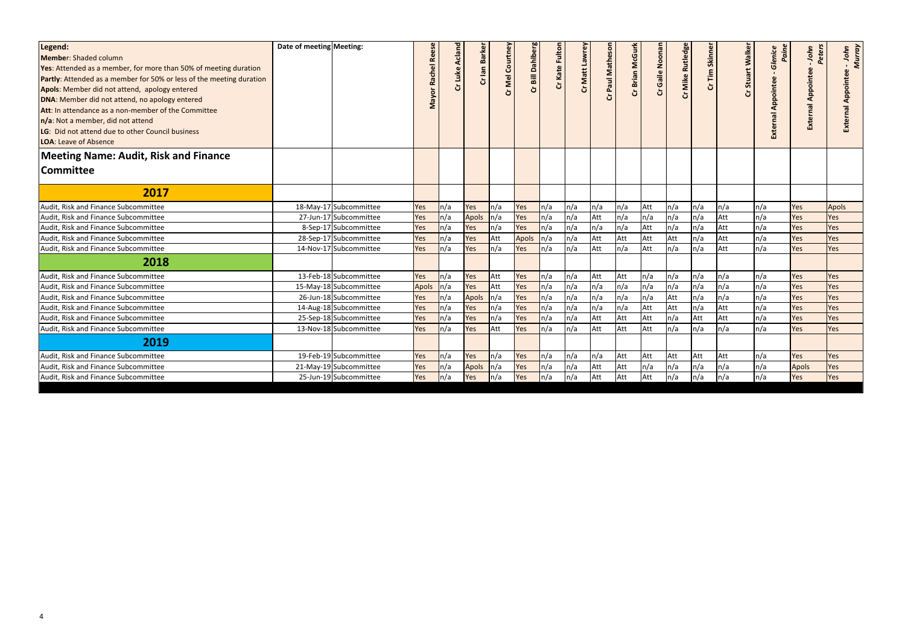| Legend:<br><b>Member:</b> Shaded column<br><b>Yes:</b> Attended as a member, for more than 50% of meeting duration<br>Partly: Attended as a member for 50% or less of the meeting duration<br>Apols: Member did not attend, apology entered<br>DNA: Member did not attend, no apology entered<br>Att: In attendance as a non-member of the Committee<br>n/a: Not a member, did not attend<br>LG: Did not attend due to other Council business<br><b>LOA: Leave of Absence</b> | Date of meeting Meeting: |                        | <b>Rei</b><br>Rachel<br>Mayor | Cr Luke Acland | <b>Barker</b><br>Cr lan | <b>Mel Courtney</b><br>ò | Cr Bill Dahlberg | Cr Kate Fultor | Cr Matt Lawrey | Paul Mathes<br>5 | Cr Brian McGurk | Gaile Noonan<br>5 | Cr Mike Rutledge | Cr Tim Skinne | Walker<br><b>Stuart</b><br>Ğ | Glenice<br>Pain<br>Appointee<br><b>External</b> | Peters<br>John<br><b>External Appointee</b> | - John<br>Murray<br>Appointee |
|-------------------------------------------------------------------------------------------------------------------------------------------------------------------------------------------------------------------------------------------------------------------------------------------------------------------------------------------------------------------------------------------------------------------------------------------------------------------------------|--------------------------|------------------------|-------------------------------|----------------|-------------------------|--------------------------|------------------|----------------|----------------|------------------|-----------------|-------------------|------------------|---------------|------------------------------|-------------------------------------------------|---------------------------------------------|-------------------------------|
| <b>Meeting Name: Audit, Risk and Finance</b>                                                                                                                                                                                                                                                                                                                                                                                                                                  |                          |                        |                               |                |                         |                          |                  |                |                |                  |                 |                   |                  |               |                              |                                                 |                                             |                               |
| <b>Committee</b>                                                                                                                                                                                                                                                                                                                                                                                                                                                              |                          |                        |                               |                |                         |                          |                  |                |                |                  |                 |                   |                  |               |                              |                                                 |                                             |                               |
| 2017                                                                                                                                                                                                                                                                                                                                                                                                                                                                          |                          |                        |                               |                |                         |                          |                  |                |                |                  |                 |                   |                  |               |                              |                                                 |                                             |                               |
| Audit, Risk and Finance Subcommittee                                                                                                                                                                                                                                                                                                                                                                                                                                          |                          | 18-May-17 Subcommittee | Yes                           | $\ln/a$        | Yes                     | ln/a                     | Yes              | n/a            | n/a            | n/a              | n/a             | Att               | n/a              | n/a           | n/a                          | n/a                                             | Yes                                         | <b>Apols</b>                  |
| Audit, Risk and Finance Subcommittee                                                                                                                                                                                                                                                                                                                                                                                                                                          |                          | 27-Jun-17 Subcommittee | Yes                           | $\ln/a$        | <b>Apols</b>            | ln/a                     | Yes              | n/a            | n/a            | Att              | n/a             | n/a               | n/a              | n/a           | Att                          | n/a                                             | Yes                                         | Yes                           |
| Audit, Risk and Finance Subcommittee                                                                                                                                                                                                                                                                                                                                                                                                                                          |                          | 8-Sep-17 Subcommittee  | Yes                           | n/a            | Yes                     | ln/a                     | Yes              | n/a            | n/a            | n/a              | n/a             | Att               | n/a              | n/a           | Att                          | n/a                                             | Yes                                         | Yes                           |
| Audit, Risk and Finance Subcommittee                                                                                                                                                                                                                                                                                                                                                                                                                                          |                          | 28-Sep-17 Subcommittee | Yes                           | ln/a           | Yes                     | Att                      | Apols            | n/a            | n/a            | Att              | Att             | Att               | Att              | n/a           | Att                          | n/a                                             | Yes                                         | Yes                           |
| Audit, Risk and Finance Subcommittee                                                                                                                                                                                                                                                                                                                                                                                                                                          |                          | 14-Nov-17 Subcommittee | Yes                           | ln/a           | Yes                     | ln/a                     | Yes              | n/a            | n/a            | Att              | n/a             | Att               | n/a              | n/a           | Att                          | n/a                                             | Yes                                         | Yes                           |
| 2018                                                                                                                                                                                                                                                                                                                                                                                                                                                                          |                          |                        |                               |                |                         |                          |                  |                |                |                  |                 |                   |                  |               |                              |                                                 |                                             |                               |
| Audit, Risk and Finance Subcommittee                                                                                                                                                                                                                                                                                                                                                                                                                                          |                          | 13-Feb-18 Subcommittee | Yes                           | n/a            | Yes                     | Att                      | Yes              | n/a            | n/a            | Att              | Att             | n/a               | n/a              | n/a           | n/a                          | n/a                                             | Yes                                         | Yes                           |
| Audit, Risk and Finance Subcommittee                                                                                                                                                                                                                                                                                                                                                                                                                                          |                          | 15-May-18 Subcommittee | <b>Apols</b>                  | $\ln/a$        | Yes                     | Att                      | Yes              | n/a            | n/a            | n/a              | n/a             | n/a               | n/a              | n/a           | n/a                          | n/a                                             | Yes                                         | Yes                           |
| Audit, Risk and Finance Subcommittee                                                                                                                                                                                                                                                                                                                                                                                                                                          |                          | 26-Jun-18 Subcommittee | Yes                           | $\ln/a$        | Apols                   | ln/a                     | Yes              | n/a            | n/a            | n/a              | n/a             | n/a               | Att              | n/a           | n/a                          | n/a                                             | Yes                                         | Yes                           |
| Audit, Risk and Finance Subcommittee                                                                                                                                                                                                                                                                                                                                                                                                                                          |                          | 14-Aug-18 Subcommittee | Yes                           | $\ln/a$        | Yes                     | ln/a                     | Yes              | n/a            | n/a            | n/a              | n/a             | Att               | Att              | n/a           | Att                          | n/a                                             | Yes                                         | Yes                           |
| Audit, Risk and Finance Subcommittee                                                                                                                                                                                                                                                                                                                                                                                                                                          |                          | 25-Sep-18 Subcommittee | Yes                           | ln/a           | Yes                     | ln/a                     | Yes              | n/a            | n/a            | Att              | Att             | Att               | n/a              | Att           | Att                          | n/a                                             | Yes                                         | Yes                           |
| Audit, Risk and Finance Subcommittee                                                                                                                                                                                                                                                                                                                                                                                                                                          |                          | 13-Nov-18 Subcommittee | Yes                           | $\ln/a$        | Yes                     | Att                      | Yes              | n/a            | n/a            | Att              | Att             | Att               | n/a              | n/a           | n/a                          | n/a                                             | Yes                                         | Yes                           |
| 2019                                                                                                                                                                                                                                                                                                                                                                                                                                                                          |                          |                        |                               |                |                         |                          |                  |                |                |                  |                 |                   |                  |               |                              |                                                 |                                             |                               |
| Audit, Risk and Finance Subcommittee                                                                                                                                                                                                                                                                                                                                                                                                                                          |                          | 19-Feb-19 Subcommittee | Yes                           | $\ln/a$        | Yes                     | ln/a                     | Yes              | n/a            | n/a            | n/a              | Att             | Att               | Att              | Att           | Att                          | n/a                                             | Yes                                         | Yes                           |
| Audit, Risk and Finance Subcommittee                                                                                                                                                                                                                                                                                                                                                                                                                                          |                          | 21-May-19 Subcommittee | Yes                           | $\ln/a$        | <b>Apols</b>            | ln/a                     | Yes              | n/a            | n/a            | Att              | Att             | n/a               | n/a              | n/a           | n/a                          | n/a                                             | <b>Apols</b>                                | Yes                           |
| Audit, Risk and Finance Subcommittee                                                                                                                                                                                                                                                                                                                                                                                                                                          |                          | 25-Jun-19 Subcommittee | Yes                           | $\ln/a$        | Yes                     | $\ln/a$                  | Yes              | n/a            | n/a            | Att              | Att             | Att               | n/a              | n/a           | n/a                          | n/a                                             | Yes                                         | Yes                           |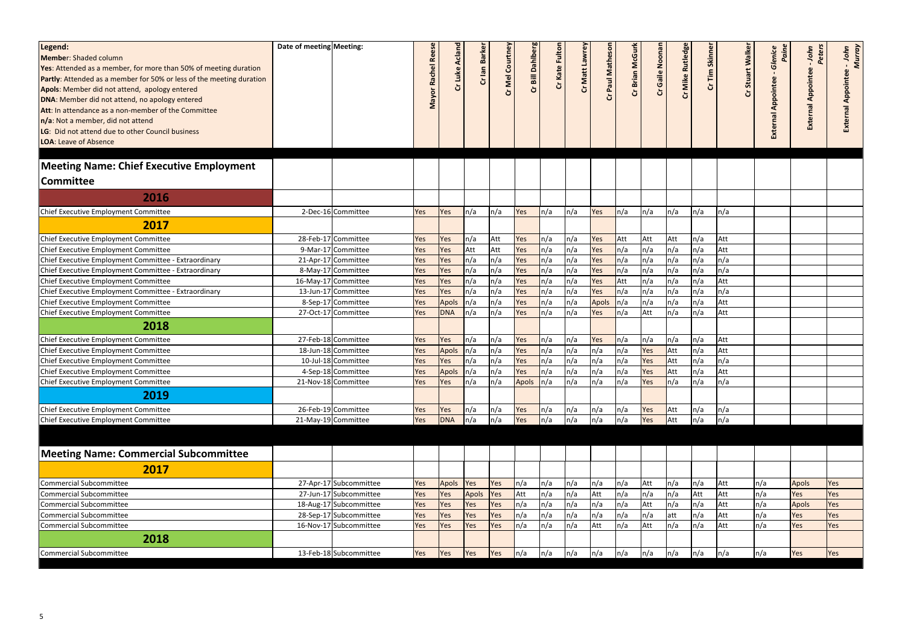| Legend:<br>Member: Shaded column<br><b>Yes:</b> Attended as a member, for more than 50% of meeting duration<br><b>Partly:</b> Attended as a member for 50% or less of the meeting duration<br>Apols: Member did not attend, apology entered<br>DNA: Member did not attend, no apology entered<br><b>Att: In attendance as a non-member of the Committee</b><br>n/a: Not a member, did not attend<br>LG: Did not attend due to other Council business<br>LOA: Leave of Absence<br><b>Meeting Name: Chief Executive Employment</b><br><b>Committee</b> | Date of meeting Meeting: |                                           | Rachel Re<br>Mayor | Cr Luke Acland | Cr lan Barke      | Cr Mel Courtney | Cr Bill Dahlberg | Cr Kate Fultor | Cr Matt Lawrey | Paul Matheso | Cr Brian McGurk | Gaile Noonar<br>ჯ | <b>Mike Rutledge</b><br>Ğ | <b>Tim Skinner</b><br>ჯ | ò          | Walker<br>Paine<br>Glenice<br>Stuart<br>Appointee<br>External | Peters<br>John<br><b>External Appointee</b> | - John<br>Murray<br><b>pointee</b><br>$\overline{P}$ |
|------------------------------------------------------------------------------------------------------------------------------------------------------------------------------------------------------------------------------------------------------------------------------------------------------------------------------------------------------------------------------------------------------------------------------------------------------------------------------------------------------------------------------------------------------|--------------------------|-------------------------------------------|--------------------|----------------|-------------------|-----------------|------------------|----------------|----------------|--------------|-----------------|-------------------|---------------------------|-------------------------|------------|---------------------------------------------------------------|---------------------------------------------|------------------------------------------------------|
| 2016                                                                                                                                                                                                                                                                                                                                                                                                                                                                                                                                                 |                          |                                           |                    |                |                   |                 |                  |                |                |              |                 |                   |                           |                         |            |                                                               |                                             |                                                      |
| Chief Executive Employment Committee                                                                                                                                                                                                                                                                                                                                                                                                                                                                                                                 |                          | 2-Dec-16 Committee                        | Yes                | Yes            | n/a               | n/a             | Yes              | $\ln/a$        | n/a            | Yes          | n/a             | $\ln/a$           | n/a                       | n/a                     | n/a        |                                                               |                                             |                                                      |
| 2017                                                                                                                                                                                                                                                                                                                                                                                                                                                                                                                                                 |                          |                                           |                    |                |                   |                 |                  |                |                |              |                 |                   |                           |                         |            |                                                               |                                             |                                                      |
|                                                                                                                                                                                                                                                                                                                                                                                                                                                                                                                                                      |                          |                                           |                    |                |                   |                 |                  |                |                |              |                 |                   |                           |                         |            |                                                               |                                             |                                                      |
| Chief Executive Employment Committee                                                                                                                                                                                                                                                                                                                                                                                                                                                                                                                 |                          | 28-Feb-17 Committee                       | Yes                | Yes            | n/a               | Att             | Yes              | n/a            | n/a<br>n/a     | Yes          | Att<br>$\ln/a$  | Att               | Att                       | n/a                     | Att        |                                                               |                                             |                                                      |
| Chief Executive Employment Committee<br>Chief Executive Employment Committee - Extraordinary                                                                                                                                                                                                                                                                                                                                                                                                                                                         |                          | 9-Mar-17 Committee<br>21-Apr-17 Committee | Yes                | Yes<br>Yes     | Att<br>n/a        | Att<br>n/a      | Yes<br>Yes       | n/a<br>n/a     | n/a            | Yes<br>Yes   | $\ln/a$         | n/a<br>n/a        | n/a<br>n/a                | n/a<br>n/a              | Att<br>n/a |                                                               |                                             |                                                      |
| Chief Executive Employment Committee - Extraordinary                                                                                                                                                                                                                                                                                                                                                                                                                                                                                                 |                          | 8-May-17 Committee                        | Yes<br>Yes         | Yes            | n/a               | n/a             | Yes              | n/a            | n/a            | Yes          | $\ln/a$         | n/a               | n/a                       | n/a                     | n/a        |                                                               |                                             |                                                      |
| Chief Executive Employment Committee                                                                                                                                                                                                                                                                                                                                                                                                                                                                                                                 |                          | 16-May-17 Committee                       | Yes                | Yes            | n/a               | n/a             | Yes              | n/a            | n/a            | Yes          | Att             | n/a               | n/a                       | n/a                     | Att        |                                                               |                                             |                                                      |
| Chief Executive Employment Committee - Extraordinary                                                                                                                                                                                                                                                                                                                                                                                                                                                                                                 |                          | 13-Jun-17 Committee                       | Yes                | Yes            | n/a               | n/a             | Yes              | n/a            | n/a            | Yes          | ln/a            | n/a               | n/a                       | n/a                     | n/a        |                                                               |                                             |                                                      |
| Chief Executive Employment Committee                                                                                                                                                                                                                                                                                                                                                                                                                                                                                                                 |                          | 8-Sep-17 Committee                        | Yes                | <b>Apols</b>   | n/a               | n/a             | Yes              | n/a            | n/a            | <b>Apols</b> | ln/a            | n/a               | n/a                       | n/a                     | Att        |                                                               |                                             |                                                      |
| Chief Executive Employment Committee                                                                                                                                                                                                                                                                                                                                                                                                                                                                                                                 |                          | 27-Oct-17 Committee                       | Yes                | <b>DNA</b>     | n/a               | n/a             | Yes              | n/a            | n/a            | Yes          | $\ln/a$         | Att               | n/a                       | n/a                     | Att        |                                                               |                                             |                                                      |
| 2018                                                                                                                                                                                                                                                                                                                                                                                                                                                                                                                                                 |                          |                                           |                    |                |                   |                 |                  |                |                |              |                 |                   |                           |                         |            |                                                               |                                             |                                                      |
| Chief Executive Employment Committee                                                                                                                                                                                                                                                                                                                                                                                                                                                                                                                 |                          | 27-Feb-18 Committee                       | Yes                | Yes            | n/a               | n/a             | Yes              | n/a            | n/a            | Yes          | ln/a            | n/a               | n/a                       | n/a                     | Att        |                                                               |                                             |                                                      |
| Chief Executive Employment Committee                                                                                                                                                                                                                                                                                                                                                                                                                                                                                                                 |                          | 18-Jun-18 Committee                       | Yes                | Apols          | n/a               | n/a             | Yes              | n/a            | n/a            | n/a          | n/a             | Yes               | Att                       | n/a                     | Att        |                                                               |                                             |                                                      |
| Chief Executive Employment Committee                                                                                                                                                                                                                                                                                                                                                                                                                                                                                                                 |                          | 10-Jul-18 Committee                       | Yes                | Yes            | n/a               | n/a             | Yes              | n/a            | n/a            | n/a          | n/a             | Yes               | Att                       | n/a                     | n/a        |                                                               |                                             |                                                      |
| Chief Executive Employment Committee                                                                                                                                                                                                                                                                                                                                                                                                                                                                                                                 |                          | 4-Sep-18 Committee                        | Yes                | Apols          | n/a               | n/a             | Yes              | n/a            | n/a            | n/a          | n/a             | Yes               | Att                       | n/a                     | Att        |                                                               |                                             |                                                      |
| Chief Executive Employment Committee                                                                                                                                                                                                                                                                                                                                                                                                                                                                                                                 |                          | 21-Nov-18 Committee                       | Yes                | Yes            | $\vert n/a \vert$ | n/a             | Apols n/a        |                | n/a            | n/a          | n/a             | Yes               | $\vert n/a \vert$         | n/a                     | n/a        |                                                               |                                             |                                                      |
|                                                                                                                                                                                                                                                                                                                                                                                                                                                                                                                                                      |                          |                                           |                    |                |                   |                 |                  |                |                |              |                 |                   |                           |                         |            |                                                               |                                             |                                                      |
| 2019                                                                                                                                                                                                                                                                                                                                                                                                                                                                                                                                                 |                          |                                           |                    |                |                   |                 |                  |                |                |              |                 |                   |                           |                         |            |                                                               |                                             |                                                      |
| Chief Executive Employment Committee                                                                                                                                                                                                                                                                                                                                                                                                                                                                                                                 |                          | 26-Feb-19 Committee                       | Yes                | Yes            | n/a               | n/a             | Yes              | n/a            | n/a            | n/a          | n/a             | Yes               | Att                       | n/a                     | n/a        |                                                               |                                             |                                                      |
| Chief Executive Employment Committee                                                                                                                                                                                                                                                                                                                                                                                                                                                                                                                 |                          | 21-May-19 Committee                       | Yes                | <b>DNA</b>     | n/a               | n/a             | Yes              | $\ln/a$        | n/a            | n/a          | n/a             | Yes               | Att                       | n/a                     | n/a        |                                                               |                                             |                                                      |
|                                                                                                                                                                                                                                                                                                                                                                                                                                                                                                                                                      |                          |                                           |                    |                |                   |                 |                  |                |                |              |                 |                   |                           |                         |            |                                                               |                                             |                                                      |
| <b>Meeting Name: Commercial Subcommittee</b>                                                                                                                                                                                                                                                                                                                                                                                                                                                                                                         |                          |                                           |                    |                |                   |                 |                  |                |                |              |                 |                   |                           |                         |            |                                                               |                                             |                                                      |
| 2017                                                                                                                                                                                                                                                                                                                                                                                                                                                                                                                                                 |                          |                                           |                    |                |                   |                 |                  |                |                |              |                 |                   |                           |                         |            |                                                               |                                             |                                                      |
| <b>Commercial Subcommittee</b>                                                                                                                                                                                                                                                                                                                                                                                                                                                                                                                       |                          | 27-Apr-17 Subcommittee                    | Yes                | Apols          | Yes               | Yes             | ln/a             | n/a            | n/a            | n/a          | n/a             | Att               | n/a                       | n/a                     | Att        | n/a                                                           | <b>Apols</b>                                | Yes                                                  |
| Commercial Subcommittee                                                                                                                                                                                                                                                                                                                                                                                                                                                                                                                              |                          | 27-Jun-17 Subcommittee                    | Yes                | Yes            | <b>Apols</b>      | Yes             | Att              | n/a            | n/a            | Att          | n/a             | n/a               | n/a                       | Att                     | Att        | n/a                                                           | Yes                                         | Yes                                                  |
| <b>Commercial Subcommittee</b>                                                                                                                                                                                                                                                                                                                                                                                                                                                                                                                       |                          | 18-Aug-17 Subcommittee                    | Yes                | Yes            | Yes               | Yes             | ln/a             | n/a            | n/a            | n/a          | n/a             | Att               | n/a                       | n/a                     | Att        | n/a                                                           | <b>Apols</b>                                | Yes                                                  |
| <b>Commercial Subcommittee</b>                                                                                                                                                                                                                                                                                                                                                                                                                                                                                                                       |                          | 28-Sep-17 Subcommittee                    | Yes                | Yes            | Yes               | Yes             | n/a              | n/a            | n/a            | n/a          | n/a             | n/a               | att                       | n/a                     | Att        | n/a                                                           | Yes                                         | Yes                                                  |
| Commercial Subcommittee                                                                                                                                                                                                                                                                                                                                                                                                                                                                                                                              |                          | 16-Nov-17 Subcommittee                    | Yes                | Yes            | Yes               | Yes             | n/a              | n/a            | n/a            | Att          | n/a             | Att               | n/a                       | n/a                     | Att        | n/a                                                           | Yes                                         | Yes                                                  |
| 2018                                                                                                                                                                                                                                                                                                                                                                                                                                                                                                                                                 |                          |                                           |                    |                |                   |                 |                  |                |                |              |                 |                   |                           |                         |            |                                                               |                                             |                                                      |
| Commercial Subcommittee                                                                                                                                                                                                                                                                                                                                                                                                                                                                                                                              |                          | 13-Feb-18 Subcommittee                    | Yes                | <b>Yes</b>     | Yes               | Yes             | n/a              | n/a            | n/a            | n/a          | n/a             | n/a               | n/a                       | n/a                     | n/a        | n/a                                                           | Yes                                         | <b>Yes</b>                                           |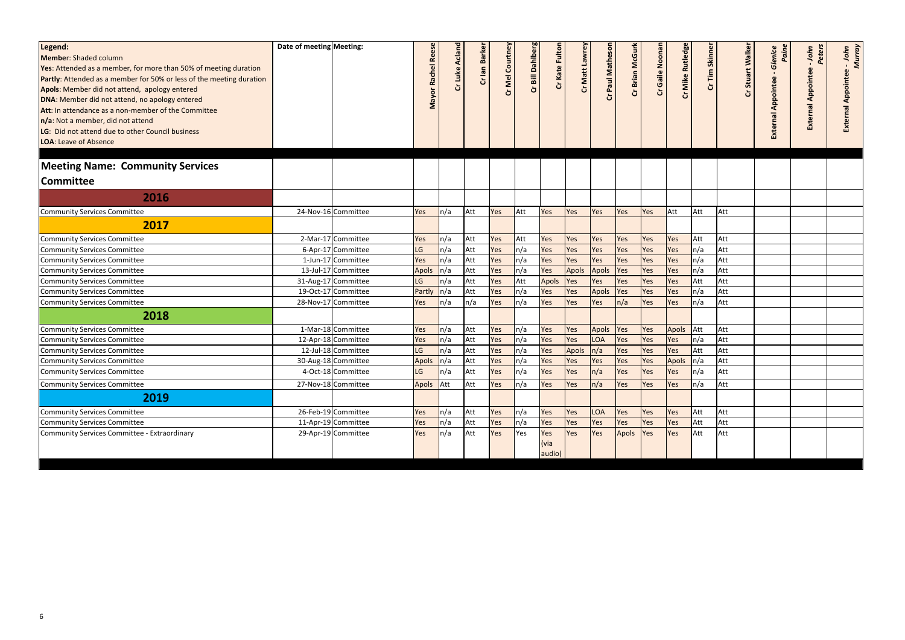| Legend:<br>Member: Shaded column<br><b>Yes:</b> Attended as a member, for more than 50% of meeting duration<br>Partly: Attended as a member for 50% or less of the meeting duration<br>Apols: Member did not attend, apology entered<br>DNA: Member did not attend, no apology entered<br>Att: In attendance as a non-member of the Committee<br>n/a: Not a member, did not attend<br>LG: Did not attend due to other Council business<br>LOA: Leave of Absence | Date of meeting Meeting: |                     | <b>Re</b><br>Rachel<br>Mayor | Cr Luke Acland | Cr lan Barke | Cr Mel Courtney | Cr Bill Dahlberg | Cr Kate Fulton        | Cr Matt Lawrey | Paul Mathes<br>ò | Cr Brian McGurk | Gaile Noonan<br>້ວ | Cr Mike Rutledge | Cr Tim Skinner | Stuart Walker<br>Ğ | Glenice<br>Pain<br><b>External Appointee</b> | Peters<br>John<br><b>External Appointee</b> | - John<br>Murray<br>ernal Appointee |
|-----------------------------------------------------------------------------------------------------------------------------------------------------------------------------------------------------------------------------------------------------------------------------------------------------------------------------------------------------------------------------------------------------------------------------------------------------------------|--------------------------|---------------------|------------------------------|----------------|--------------|-----------------|------------------|-----------------------|----------------|------------------|-----------------|--------------------|------------------|----------------|--------------------|----------------------------------------------|---------------------------------------------|-------------------------------------|
| <b>Meeting Name: Community Services</b>                                                                                                                                                                                                                                                                                                                                                                                                                         |                          |                     |                              |                |              |                 |                  |                       |                |                  |                 |                    |                  |                |                    |                                              |                                             |                                     |
| <b>Committee</b>                                                                                                                                                                                                                                                                                                                                                                                                                                                |                          |                     |                              |                |              |                 |                  |                       |                |                  |                 |                    |                  |                |                    |                                              |                                             |                                     |
| 2016                                                                                                                                                                                                                                                                                                                                                                                                                                                            |                          |                     |                              |                |              |                 |                  |                       |                |                  |                 |                    |                  |                |                    |                                              |                                             |                                     |
| Community Services Committee                                                                                                                                                                                                                                                                                                                                                                                                                                    |                          | 24-Nov-16 Committee | Yes                          | n/a            | Att          | Yes             | Att              | Yes                   | Yes            | Yes              | Yes             | Yes                | Att              | Att            | Att                |                                              |                                             |                                     |
| 2017                                                                                                                                                                                                                                                                                                                                                                                                                                                            |                          |                     |                              |                |              |                 |                  |                       |                |                  |                 |                    |                  |                |                    |                                              |                                             |                                     |
| Community Services Committee                                                                                                                                                                                                                                                                                                                                                                                                                                    |                          | 2-Mar-17 Committee  | Yes                          | n/a            | Att          | Yes             | Att              | Yes                   | Yes            | Yes              | Yes             | Yes                | Yes              | Att            | Att                |                                              |                                             |                                     |
| Community Services Committee                                                                                                                                                                                                                                                                                                                                                                                                                                    |                          | 6-Apr-17 Committee  | <b>LG</b>                    | n/a            | Att          | Yes             | n/a              | Yes                   | Yes            | Yes              | Yes             | Yes                | Yes              | n/a            | Att                |                                              |                                             |                                     |
| Community Services Committee                                                                                                                                                                                                                                                                                                                                                                                                                                    |                          | 1-Jun-17 Committee  | Yes                          | n/a            | Att          | Yes             | n/a              | Yes                   | Yes            | Yes              | Yes             | Yes                | Yes              | n/a            | Att                |                                              |                                             |                                     |
| Community Services Committee                                                                                                                                                                                                                                                                                                                                                                                                                                    |                          | 13-Jul-17 Committee | <b>Apols</b>                 | n/a            | Att          | Yes             | n/a              | Yes                   | Apols          | Apols            | Yes             | Yes                | Yes              | n/a            | Att                |                                              |                                             |                                     |
| <b>Community Services Committee</b>                                                                                                                                                                                                                                                                                                                                                                                                                             |                          | 31-Aug-17 Committee | <b>LG</b>                    | n/a            | Att          | Yes             | Att              | <b>Apols</b>          | Yes            | Yes              | Yes             | Yes                | Yes              | Att            | Att                |                                              |                                             |                                     |
| Community Services Committee                                                                                                                                                                                                                                                                                                                                                                                                                                    |                          | 19-Oct-17 Committee | Partly                       | n/a            | Att          | Yes             | n/a              | Yes                   | Yes            | <b>Apols</b>     | Yes             | Yes                | Yes              | n/a            | Att                |                                              |                                             |                                     |
| Community Services Committee                                                                                                                                                                                                                                                                                                                                                                                                                                    |                          | 28-Nov-17 Committee | Yes                          | n/a            | n/a          | Yes             | n/a              | Yes                   | Yes            | Yes              | n/a             | Yes                | Yes              | n/a            | Att                |                                              |                                             |                                     |
| 2018                                                                                                                                                                                                                                                                                                                                                                                                                                                            |                          |                     |                              |                |              |                 |                  |                       |                |                  |                 |                    |                  |                |                    |                                              |                                             |                                     |
| Community Services Committee                                                                                                                                                                                                                                                                                                                                                                                                                                    |                          | 1-Mar-18 Committee  | Yes                          | n/a            | Att          | Yes             | n/a              | Yes                   | Yes            | <b>Apols</b>     | Yes             | Yes                | Apols            | Att            | Att                |                                              |                                             |                                     |
| <b>Community Services Committee</b>                                                                                                                                                                                                                                                                                                                                                                                                                             |                          | 12-Apr-18 Committee | Yes                          | n/a            | Att          | Yes             | n/a              | Yes                   | Yes            | LOA              | Yes             | Yes                | Yes              | n/a            | Att                |                                              |                                             |                                     |
| Community Services Committee                                                                                                                                                                                                                                                                                                                                                                                                                                    |                          | 12-Jul-18 Committee | LG                           | n/a            | Att          | Yes             | n/a              | Yes                   | Apols          | n/a              | Yes             | Yes                | Yes              | Att            | Att                |                                              |                                             |                                     |
| Community Services Committee                                                                                                                                                                                                                                                                                                                                                                                                                                    |                          | 30-Aug-18 Committee | <b>Apols</b>                 | n/a            | Att          | Yes             | n/a              | Yes                   | Yes            | Yes              | Yes             | Yes                | Apols            | n/a            | Att                |                                              |                                             |                                     |
| Community Services Committee                                                                                                                                                                                                                                                                                                                                                                                                                                    |                          | 4-Oct-18 Committee  | <b>LG</b>                    | n/a            | Att          | Yes             | n/a              | Yes                   | Yes            | n/a              | Yes             | Yes                | Yes              | n/a            | Att                |                                              |                                             |                                     |
| Community Services Committee                                                                                                                                                                                                                                                                                                                                                                                                                                    |                          | 27-Nov-18 Committee | Apols Att                    |                | Att          | Yes             | n/a              | Yes                   | Yes            | n/a              | Yes             | Yes                | Yes              | ln/a           | Att                |                                              |                                             |                                     |
| 2019                                                                                                                                                                                                                                                                                                                                                                                                                                                            |                          |                     |                              |                |              |                 |                  |                       |                |                  |                 |                    |                  |                |                    |                                              |                                             |                                     |
| Community Services Committee                                                                                                                                                                                                                                                                                                                                                                                                                                    |                          | 26-Feb-19 Committee | Yes                          | n/a            | Att          | Yes             | n/a              | Yes                   | Yes            | <b>LOA</b>       | Yes             | Yes                | Yes              | Att            | Att                |                                              |                                             |                                     |
| <b>Community Services Committee</b>                                                                                                                                                                                                                                                                                                                                                                                                                             |                          | 11-Apr-19 Committee | Yes                          | n/a            | Att          | Yes             | n/a              | Yes                   | Yes            | Yes              | Yes             | Yes                | Yes              | Att            | Att                |                                              |                                             |                                     |
| Community Services Committee - Extraordinary                                                                                                                                                                                                                                                                                                                                                                                                                    |                          | 29-Apr-19 Committee | Yes                          | n/a            | Att          | Yes             | Yes              | Yes<br>(via<br>audio) | Yes            | Yes              | Apols           | Yes                | Yes              | Att            | Att                |                                              |                                             |                                     |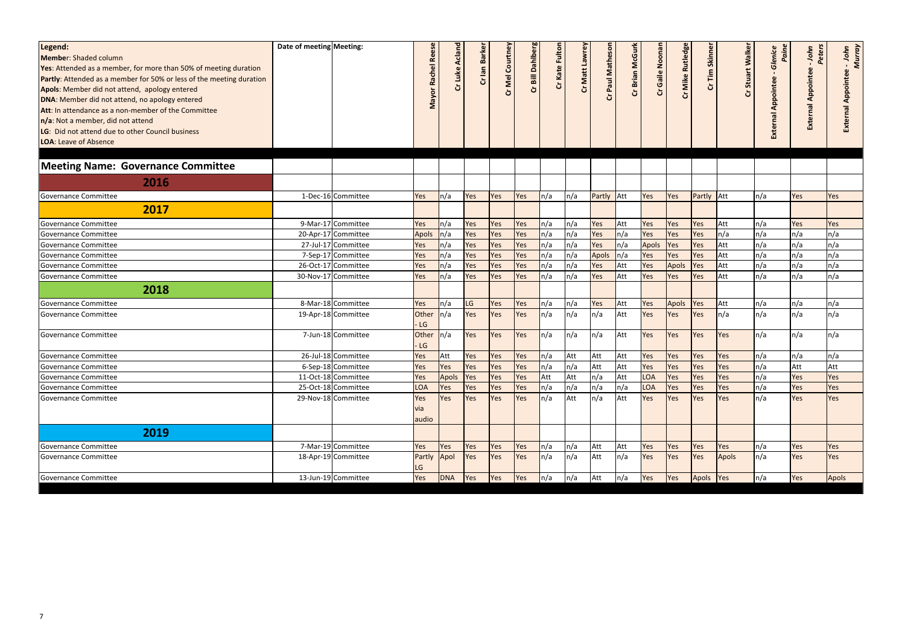| Legend:<br>Member: Shaded column<br><b>Yes:</b> Attended as a member, for more than 50% of meeting duration<br><b>Partly:</b> Attended as a member for 50% or less of the meeting duration<br>Apols: Member did not attend, apology entered<br>DNA: Member did not attend, no apology entered<br>Att: In attendance as a non-member of the Committee<br>n/a: Not a member, did not attend<br>LG: Did not attend due to other Council business<br><b>LOA: Leave of Absence</b> | Date of meeting Meeting: |                     | œ<br>$\overline{\omega}$<br><b>Rach</b><br>Mayor | Acland<br>Cr Luke | Cr lan Barke | Cr Mel Courtney | Cr Bill Dahlberg | Cr Kate Fultor | Cr Matt Lawrey | Paul Mathes<br>ò  | Cr Brian McGurk | Gaile Noonan<br><b>პ</b> | <b>Rutledge</b><br>Cr Mike | Cr Tim Skinner    | alker<br>Stuart<br>Ò | Glenice<br>Pain<br>Appointee<br>External | Peters<br>John<br><b>External Appointee</b> | - John<br>Murray<br>ppointee<br>ৰ<br>Ext |
|-------------------------------------------------------------------------------------------------------------------------------------------------------------------------------------------------------------------------------------------------------------------------------------------------------------------------------------------------------------------------------------------------------------------------------------------------------------------------------|--------------------------|---------------------|--------------------------------------------------|-------------------|--------------|-----------------|------------------|----------------|----------------|-------------------|-----------------|--------------------------|----------------------------|-------------------|----------------------|------------------------------------------|---------------------------------------------|------------------------------------------|
| Meeting Name: Governance Committee                                                                                                                                                                                                                                                                                                                                                                                                                                            |                          |                     |                                                  |                   |              |                 |                  |                |                |                   |                 |                          |                            |                   |                      |                                          |                                             |                                          |
| 2016                                                                                                                                                                                                                                                                                                                                                                                                                                                                          |                          |                     |                                                  |                   |              |                 |                  |                |                |                   |                 |                          |                            |                   |                      |                                          |                                             |                                          |
| Governance Committee                                                                                                                                                                                                                                                                                                                                                                                                                                                          |                          | 1-Dec-16 Committee  | Yes                                              | $\ln/a$           | Yes          | <b>Yes</b>      | Yes              | ln/a           | n/a            | <b>Partly</b> Att |                 | Yes                      | Yes                        | <b>Partly</b> Att |                      | n/a                                      | Yes                                         | Yes                                      |
| 2017                                                                                                                                                                                                                                                                                                                                                                                                                                                                          |                          |                     |                                                  |                   |              |                 |                  |                |                |                   |                 |                          |                            |                   |                      |                                          |                                             |                                          |
| Governance Committee                                                                                                                                                                                                                                                                                                                                                                                                                                                          |                          | 9-Mar-17 Committee  | Yes                                              | $\ln/a$           | Yes          | <b>Yes</b>      | Yes              | ln/a           | n/a            | Yes               | Att             | Yes                      | Yes                        | Yes               | Att                  | n/a                                      | Yes                                         | Yes                                      |
| Governance Committee                                                                                                                                                                                                                                                                                                                                                                                                                                                          |                          | 20-Apr-17 Committee | <b>Apols</b>                                     | n/a               | Yes          | Yes             | Yes              | n/a            | n/a            | Yes               | n/a             | Yes                      | Yes                        | Yes               | n/a                  | n/a                                      | n/a                                         | n/a                                      |
| Governance Committee                                                                                                                                                                                                                                                                                                                                                                                                                                                          |                          | 27-Jul-17 Committee | Yes                                              | n/a               | Yes          | Yes             | Yes              | n/a            | n/a            | Yes               | n/a             | Apols                    | <b>Yes</b>                 | Yes               | Att                  | n/a                                      | n/a                                         | n/a                                      |
| Governance Committee                                                                                                                                                                                                                                                                                                                                                                                                                                                          |                          | 7-Sep-17 Committee  | Yes                                              | n/a               | Yes          | Yes             | Yes              | n/a            | n/a            | <b>Apols</b>      | n/a             | Yes                      | Yes                        | Yes               | Att                  | n/a                                      | n/a                                         | n/a                                      |
| Governance Committee                                                                                                                                                                                                                                                                                                                                                                                                                                                          |                          | 26-Oct-17 Committee | Yes                                              | n/a               | Yes          | Yes             | Yes              | n/a            | n/a            | Yes               | Att             | Yes                      | <b>Apols</b>               | Yes               | Att                  | n/a                                      | n/a                                         | n/a                                      |
| Governance Committee                                                                                                                                                                                                                                                                                                                                                                                                                                                          |                          | 30-Nov-17 Committee | Yes                                              | n/a               | Yes          | Yes             | Yes              | n/a            | n/a            | Yes               | Att             | Yes                      | Yes                        | Yes               | Att                  | n/a                                      | n/a                                         | n/a                                      |
| 2018                                                                                                                                                                                                                                                                                                                                                                                                                                                                          |                          |                     |                                                  |                   |              |                 |                  |                |                |                   |                 |                          |                            |                   |                      |                                          |                                             |                                          |
| Governance Committee                                                                                                                                                                                                                                                                                                                                                                                                                                                          |                          | 8-Mar-18 Committee  | Yes                                              | n/a               | LG           | <b>Yes</b>      | Yes              | ln/a           | n/a            | Yes               | Att             | Yes                      | Apols                      | Yes               | Att                  | n/a                                      | n/a                                         | n/a                                      |
| Governance Committee                                                                                                                                                                                                                                                                                                                                                                                                                                                          |                          | 19-Apr-18 Committee | Other                                            | n/a               | Yes          | Yes             | Yes              | n/a            | n/a            | n/a               | Att             | Yes                      | Yes                        | Yes               | ln/a                 | n/a                                      | n/a                                         | n/a                                      |
|                                                                                                                                                                                                                                                                                                                                                                                                                                                                               |                          |                     | LG                                               |                   |              |                 |                  |                |                |                   |                 |                          |                            |                   |                      |                                          |                                             |                                          |
| Governance Committee                                                                                                                                                                                                                                                                                                                                                                                                                                                          |                          | 7-Jun-18 Committee  | Other                                            | n/a               | Yes          | <b>Yes</b>      | Yes              | ln/a           | n/a            | n/a               | Att             | Yes                      | Yes                        | Yes               | Yes                  | n/a                                      | n/a                                         | n/a                                      |
|                                                                                                                                                                                                                                                                                                                                                                                                                                                                               |                          |                     | LG                                               |                   |              |                 |                  |                |                |                   |                 |                          |                            |                   |                      |                                          |                                             |                                          |
| Governance Committee                                                                                                                                                                                                                                                                                                                                                                                                                                                          |                          | 26-Jul-18 Committee | Yes                                              | Att               | Yes          | <b>Yes</b>      | Yes              | n/a            | Att            | Att               | Att             | Yes                      | Yes                        | Yes               | Yes                  | n/a                                      | n/a                                         | n/a                                      |
| Governance Committee                                                                                                                                                                                                                                                                                                                                                                                                                                                          |                          | 6-Sep-18 Committee  | Yes                                              | Yes               | Yes          | Yes             | Yes              | n/a            | n/a            | Att               | Att             | Yes                      | Yes                        | Yes               | Yes                  | n/a                                      | Att                                         | Att                                      |
| Governance Committee                                                                                                                                                                                                                                                                                                                                                                                                                                                          |                          | 11-Oct-18 Committee | Yes                                              | Apols             | Yes          | Yes             | Yes              | Att            | Att            | n/a               | Att             | <b>LOA</b>               | Yes                        | Yes               | Yes                  | n/a                                      | Yes                                         | Yes                                      |
| Governance Committee                                                                                                                                                                                                                                                                                                                                                                                                                                                          |                          | 25-Oct-18 Committee | <b>LOA</b>                                       | Yes               | Yes          | <b>Yes</b>      | Yes              | ln/a           | n/a            | n/a               | n/a             | LOA                      | Yes                        | Yes               | Yes                  | n/a                                      | Yes                                         | Yes                                      |
| Governance Committee                                                                                                                                                                                                                                                                                                                                                                                                                                                          |                          | 29-Nov-18 Committee | Yes                                              | Yes               | Yes          | <b>Yes</b>      | Yes              | n/a            | Att            | n/a               | Att             | Yes                      | <b>Yes</b>                 | Yes               | Yes                  | n/a                                      | Yes                                         | Yes                                      |
|                                                                                                                                                                                                                                                                                                                                                                                                                                                                               |                          |                     | via<br>audio                                     |                   |              |                 |                  |                |                |                   |                 |                          |                            |                   |                      |                                          |                                             |                                          |
| 2019                                                                                                                                                                                                                                                                                                                                                                                                                                                                          |                          |                     |                                                  |                   |              |                 |                  |                |                |                   |                 |                          |                            |                   |                      |                                          |                                             |                                          |
| Governance Committee                                                                                                                                                                                                                                                                                                                                                                                                                                                          |                          | 7-Mar-19 Committee  | Yes                                              | Yes               | Yes          | Yes             | Yes              | n/a            | n/a            | Att               | Att             | Yes                      | <b>Yes</b>                 | Yes               | Yes                  | $\ln/a$                                  | Yes                                         | Yes                                      |
| Governance Committee                                                                                                                                                                                                                                                                                                                                                                                                                                                          |                          | 18-Apr-19 Committee | Partly Apol<br>LG                                |                   | Yes          | <b>Yes</b>      | Yes              | $\ln/a$        | n/a            | Att               | n/a             | Yes                      | Yes                        | Yes               | Apols                | n/a                                      | Yes                                         | Yes                                      |
| Governance Committee                                                                                                                                                                                                                                                                                                                                                                                                                                                          |                          | 13-Jun-19 Committee | Yes                                              | DNA               | Yes          | Yes             | Yes              | n/a            | n/a            | Att               | n/a             | Yes                      | Yes                        | Apols Yes         |                      | n/a                                      | Yes                                         | Apols                                    |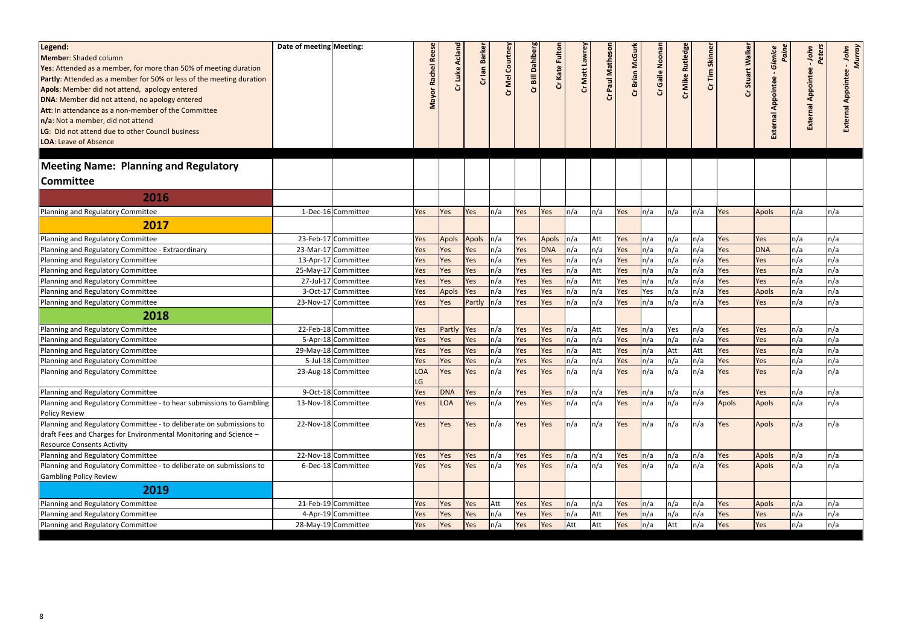| Legend:<br>Member: Shaded column<br>Yes: Attended as a member, for more than 50% of meeting duration<br>Partly: Attended as a member for 50% or less of the meeting duration<br>Apols: Member did not attend, apology entered<br>DNA: Member did not attend, no apology entered<br>Att: In attendance as a non-member of the Committee<br>n/a: Not a member, did not attend<br>LG: Did not attend due to other Council business<br><b>LOA: Leave of Absence</b> | Date of meeting Meeting: |                     | el Re<br><b>Rach</b><br>Mayor | Cr Luke Acland | Cr lan Barke | Cr Mel Courtney | Cr Bill Dahlberg | Cr Kate Fultor | Cr Matt Lawrey | Paul Mathes | Cr Brian McGurk | Gaile Noonan<br>ن<br>ت | <b>Mike Rutledge</b><br>Ğ | Skinner<br>Fim<br>ئ | alker<br>Stuart<br>Ğ | Paine<br>Glenice<br>Appointee<br>External | Peters<br>John<br><b>External Appointee</b> | - John<br>Murray<br>Appointe |
|-----------------------------------------------------------------------------------------------------------------------------------------------------------------------------------------------------------------------------------------------------------------------------------------------------------------------------------------------------------------------------------------------------------------------------------------------------------------|--------------------------|---------------------|-------------------------------|----------------|--------------|-----------------|------------------|----------------|----------------|-------------|-----------------|------------------------|---------------------------|---------------------|----------------------|-------------------------------------------|---------------------------------------------|------------------------------|
| <b>Meeting Name: Planning and Regulatory</b>                                                                                                                                                                                                                                                                                                                                                                                                                    |                          |                     |                               |                |              |                 |                  |                |                |             |                 |                        |                           |                     |                      |                                           |                                             |                              |
| <b>Committee</b>                                                                                                                                                                                                                                                                                                                                                                                                                                                |                          |                     |                               |                |              |                 |                  |                |                |             |                 |                        |                           |                     |                      |                                           |                                             |                              |
| 2016                                                                                                                                                                                                                                                                                                                                                                                                                                                            |                          |                     |                               |                |              |                 |                  |                |                |             |                 |                        |                           |                     |                      |                                           |                                             |                              |
| Planning and Regulatory Committee                                                                                                                                                                                                                                                                                                                                                                                                                               |                          | 1-Dec-16 Committee  | Yes                           | Yes            | Yes          | $\ln/a$         | Yes              | Yes            | ln/a           | n/a         | Yes             | ln/a                   | n/a                       | n/a                 | Yes                  | Apols                                     | n/a                                         | n/a                          |
| 2017                                                                                                                                                                                                                                                                                                                                                                                                                                                            |                          |                     |                               |                |              |                 |                  |                |                |             |                 |                        |                           |                     |                      |                                           |                                             |                              |
| Planning and Regulatory Committee                                                                                                                                                                                                                                                                                                                                                                                                                               |                          | 23-Feb-17 Committee | Yes                           | <b>Apols</b>   | <b>Apols</b> | ln/a            | Yes              | <b>Apols</b>   | ln/a           | Att         | Yes             | n/a                    | n/a                       | n/a                 | Yes                  | Yes                                       | n/a                                         | n/a                          |
| Planning and Regulatory Committee - Extraordinary                                                                                                                                                                                                                                                                                                                                                                                                               |                          | 23-Mar-17 Committee | Yes                           | Yes            | Yes          | ln/a            | Yes              | <b>DNA</b>     | $\ln/a$        | n/a         | Yes             | n/a                    | n/a                       | n/a                 | Yes                  | <b>DNA</b>                                | n/a                                         | n/a                          |
| Planning and Regulatory Committee                                                                                                                                                                                                                                                                                                                                                                                                                               |                          | 13-Apr-17 Committee | Yes                           | Yes            | Yes          | n/a             | Yes              | Yes            | ln/a           | n/a         | Yes             | n/a                    | n/a                       | n/a                 | Yes                  | Yes                                       | n/a                                         | n/a                          |
| Planning and Regulatory Committee                                                                                                                                                                                                                                                                                                                                                                                                                               |                          | 25-May-17 Committee | Yes                           | Yes            | Yes          | n/a             | Yes              | Yes            | $\ln/a$        | Att         | Yes             | n/a                    | n/a                       | n/a                 | Yes                  | Yes                                       | n/a                                         | n/a                          |
| Planning and Regulatory Committee                                                                                                                                                                                                                                                                                                                                                                                                                               |                          | 27-Jul-17 Committee | Yes                           | Yes            | Yes          | n/a             | Yes              | Yes            | n/a            | Att         | Yes             | n/a                    | n/a                       | n/a                 | Yes                  | Yes                                       | n/a                                         | n/a                          |
| Planning and Regulatory Committee                                                                                                                                                                                                                                                                                                                                                                                                                               |                          | 3-Oct-17 Committee  | Yes                           | <b>Apols</b>   | Yes          | n/a             | Yes              | Yes            | n/a            | n/a         | Yes             | Yes                    | n/a                       | n/a                 | Yes                  | <b>Apols</b>                              | n/a                                         | n/a                          |
| Planning and Regulatory Committee                                                                                                                                                                                                                                                                                                                                                                                                                               |                          | 23-Nov-17 Committee | Yes                           | Yes            | Partly       | $\ln/a$         | Yes              | Yes            | n/a            | n/a         | Yes             | n/a                    | n/a                       | n/a                 | Yes                  | Yes                                       | n/a                                         | n/a                          |
| 2018                                                                                                                                                                                                                                                                                                                                                                                                                                                            |                          |                     |                               |                |              |                 |                  |                |                |             |                 |                        |                           |                     |                      |                                           |                                             |                              |
| Planning and Regulatory Committee                                                                                                                                                                                                                                                                                                                                                                                                                               |                          | 22-Feb-18 Committee | Yes                           | Partly         | Yes          | n/a             | Yes              | Yes            | n/a            | Att         | Yes             | n/a                    | Yes                       | n/a                 | Yes                  | Yes                                       | n/a                                         | n/a                          |
| Planning and Regulatory Committee                                                                                                                                                                                                                                                                                                                                                                                                                               |                          | 5-Apr-18 Committee  | Yes                           | Yes            | Yes          | n/a             | Yes              | Yes            | n/a            | n/a         | Yes             | n/a                    | n/a                       | n/a                 | Yes                  | Yes                                       | n/a                                         | n/a                          |
| Planning and Regulatory Committee                                                                                                                                                                                                                                                                                                                                                                                                                               |                          | 29-May-18 Committee | Yes                           | Yes            | Yes          | ln/a            | Yes              | Yes            | n/a            | Att         | Yes             | n/a                    | Att                       | Att                 | Yes                  | Yes                                       | n/a                                         | n/a                          |
| Planning and Regulatory Committee                                                                                                                                                                                                                                                                                                                                                                                                                               |                          | 5-Jul-18 Committee  | Yes                           | Yes            | Yes          | n/a             | Yes              | Yes            | ln/a           | n/a         | Yes             | ln/a                   | n/a                       | n/a                 | Yes                  | Yes                                       | n/a                                         | n/a                          |
| Planning and Regulatory Committee                                                                                                                                                                                                                                                                                                                                                                                                                               |                          | 23-Aug-18 Committee | <b>LOA</b><br>LG              | Yes            | Yes          | n/a             | Yes              | Yes            | n/a            | n/a         | Yes             | n/a                    | n/a                       | n/a                 | Yes                  | Yes                                       | n/a                                         | n/a                          |
| Planning and Regulatory Committee                                                                                                                                                                                                                                                                                                                                                                                                                               |                          | 9-Oct-18 Committee  | Yes                           | <b>DNA</b>     | Yes          | n/a             | Yes              | Yes            | n/a            | n/a         | Yes             | ln/a                   | n/a                       | n/a                 | Yes                  | Yes                                       | n/a                                         | n/a                          |
| Planning and Regulatory Committee - to hear submissions to Gambling<br>Policy Review                                                                                                                                                                                                                                                                                                                                                                            |                          | 13-Nov-18 Committee | Yes                           | <b>LOA</b>     | Yes          | ln/a            | Yes              | Yes            | ln/a           | n/a         | Yes             | ln/a                   | n/a                       | n/a                 | Apols                | Apols                                     | ln/a                                        | n/a                          |
| Planning and Regulatory Committee - to deliberate on submissions to<br>draft Fees and Charges for Environmental Monitoring and Science -<br><b>Resource Consents Activity</b>                                                                                                                                                                                                                                                                                   |                          | 22-Nov-18 Committee | Yes                           | Yes            | Yes          | ln/a            | Yes              | Yes            | ln/a           | n/a         | Yes             | ln/a                   | n/a                       | n/a                 | Yes                  | Apols                                     | ln/a                                        | n/a                          |
| Planning and Regulatory Committee                                                                                                                                                                                                                                                                                                                                                                                                                               |                          | 22-Nov-18 Committee | Yes                           | Yes            | Yes          | ln/a            | Yes              | Yes            | n/a            | n/a         | Yes             | ln/a                   | n/a                       | n/a                 | Yes                  | Apols                                     | ln/a                                        | n/a                          |
| Planning and Regulatory Committee - to deliberate on submissions to                                                                                                                                                                                                                                                                                                                                                                                             |                          | 6-Dec-18 Committee  | Yes                           | Yes            | Yes          | ln/a            | Yes              | Yes            | ln/a           | n/a         | Yes             | ln/a                   | n/a                       | n/a                 | Yes                  | Apols                                     | ln/a                                        | n/a                          |
| <b>Gambling Policy Review</b>                                                                                                                                                                                                                                                                                                                                                                                                                                   |                          |                     |                               |                |              |                 |                  |                |                |             |                 |                        |                           |                     |                      |                                           |                                             |                              |
| 2019                                                                                                                                                                                                                                                                                                                                                                                                                                                            |                          |                     |                               |                |              |                 |                  |                |                |             |                 |                        |                           |                     |                      |                                           |                                             |                              |
| Planning and Regulatory Committee                                                                                                                                                                                                                                                                                                                                                                                                                               |                          | 21-Feb-19 Committee | Yes                           | Yes            | Yes          | Att             | Yes              | Yes            | n/a            | n/a         | Yes             | n/a                    | n/a                       | n/a                 | Yes                  | Apols                                     | n/a                                         | n/a                          |
| Planning and Regulatory Committee                                                                                                                                                                                                                                                                                                                                                                                                                               |                          | 4-Apr-19 Committee  | Yes                           | Yes            | Yes          | $\ln/a$         | Yes              | Yes            | n/a            | Att         | Yes             | $\ln/a$                | n/a                       | n/a                 | Yes                  | Yes                                       | n/a                                         | n/a                          |
| Planning and Regulatory Committee                                                                                                                                                                                                                                                                                                                                                                                                                               |                          | 28-May-19 Committee | Yes                           | Yes            | Yes          | ln/a            | Yes              | Yes            | Att            | Att         | Yes             | n/a                    | Att                       | n/a                 | Yes                  | Yes                                       | $\ln/a$                                     | n/a                          |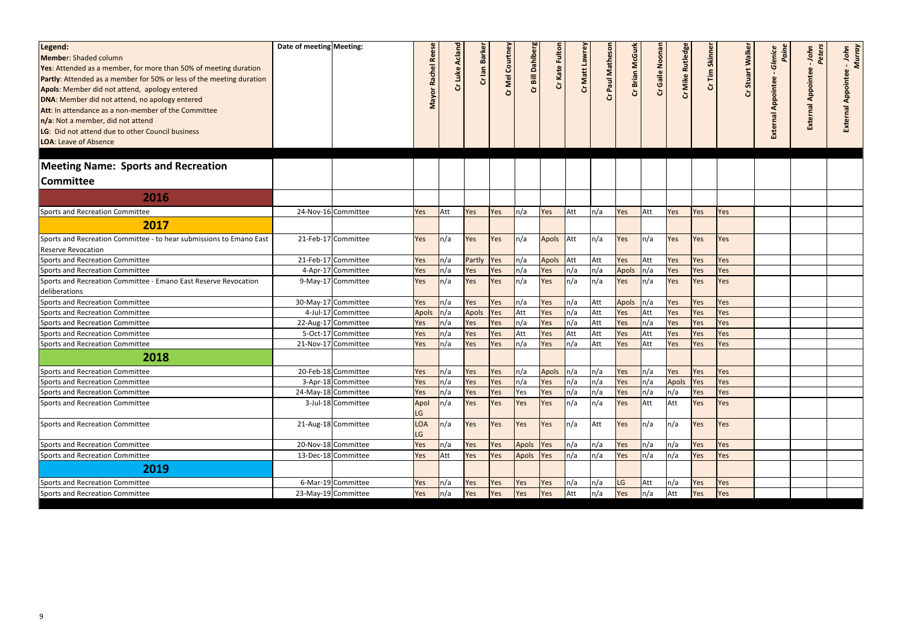| Legend:<br>Member: Shaded column<br><b>Yes:</b> Attended as a member, for more than 50% of meeting duration<br><b>Partly:</b> Attended as a member for 50% or less of the meeting duration<br>Apols: Member did not attend, apology entered<br>DNA: Member did not attend, no apology entered<br><b>Att:</b> In attendance as a non-member of the Committee<br>n/a: Not a member, did not attend<br>LG: Did not attend due to other Council business<br><b>LOA: Leave of Absence</b> | Date of meeting Meeting: |                     | <b>Re</b><br>Rachel<br>$\epsilon$<br>Σ | Cr Luke Acland | Cr lan Barker | Cr Mel Courtney | Cr Bill Dahlberg | Cr Kate Fulton | Cr Matt Lawrey | lathes<br>Paul Ma | Cr Brian McGurk | Cr Gaile Noonan | Cr Mike Rutledg | Cr Tim Skinner | Stuart Walker<br>Ğ | Glenice<br>Paine<br>Appointee<br><b>External</b> | Peters<br>John<br><b>External Appointee</b> | - John<br>Murray<br>Appointee |
|--------------------------------------------------------------------------------------------------------------------------------------------------------------------------------------------------------------------------------------------------------------------------------------------------------------------------------------------------------------------------------------------------------------------------------------------------------------------------------------|--------------------------|---------------------|----------------------------------------|----------------|---------------|-----------------|------------------|----------------|----------------|-------------------|-----------------|-----------------|-----------------|----------------|--------------------|--------------------------------------------------|---------------------------------------------|-------------------------------|
| <b>Meeting Name: Sports and Recreation</b>                                                                                                                                                                                                                                                                                                                                                                                                                                           |                          |                     |                                        |                |               |                 |                  |                |                |                   |                 |                 |                 |                |                    |                                                  |                                             |                               |
| <b>Committee</b>                                                                                                                                                                                                                                                                                                                                                                                                                                                                     |                          |                     |                                        |                |               |                 |                  |                |                |                   |                 |                 |                 |                |                    |                                                  |                                             |                               |
| 2016                                                                                                                                                                                                                                                                                                                                                                                                                                                                                 |                          |                     |                                        |                |               |                 |                  |                |                |                   |                 |                 |                 |                |                    |                                                  |                                             |                               |
| Sports and Recreation Committee                                                                                                                                                                                                                                                                                                                                                                                                                                                      |                          | 24-Nov-16 Committee | Yes                                    | Att            | Yes           | <b>Yes</b>      | n/a              | Yes            | Att            | n/a               | Yes             | Att             | Yes             | Yes            | Yes                |                                                  |                                             |                               |
| 2017                                                                                                                                                                                                                                                                                                                                                                                                                                                                                 |                          |                     |                                        |                |               |                 |                  |                |                |                   |                 |                 |                 |                |                    |                                                  |                                             |                               |
| Sports and Recreation Committee - to hear submissions to Emano East                                                                                                                                                                                                                                                                                                                                                                                                                  |                          | 21-Feb-17 Committee | Yes                                    | ln/a           | Yes           | Yes             | n/a              | Apols Att      |                | n/a               | Yes             | ln/a            | Yes             | Yes            | <b>Yes</b>         |                                                  |                                             |                               |
| Reserve Revocation                                                                                                                                                                                                                                                                                                                                                                                                                                                                   |                          |                     |                                        |                |               |                 |                  |                |                |                   |                 |                 |                 |                |                    |                                                  |                                             |                               |
| Sports and Recreation Committee                                                                                                                                                                                                                                                                                                                                                                                                                                                      |                          | 21-Feb-17 Committee | Yes                                    | n/a            | Partly Yes    |                 | n/a              | <b>Apols</b>   | Att            | Att               | Yes             | Att             | Yes             | Yes            | Yes                |                                                  |                                             |                               |
| Sports and Recreation Committee                                                                                                                                                                                                                                                                                                                                                                                                                                                      |                          | 4-Apr-17 Committee  | Yes                                    | n/a            | Yes           | Yes             | n/a              | Yes            | $\ln/a$        | n/a               | Apols           | n/a             | Yes             | Yes            | Yes                |                                                  |                                             |                               |
| Sports and Recreation Committee - Emano East Reserve Revocation<br>deliberations                                                                                                                                                                                                                                                                                                                                                                                                     |                          | 9-May-17 Committee  | Yes                                    | n/a            | Yes           | <b>Yes</b>      | n/a              | Yes            | ln/a           | n/a               | Yes             | n/a             | Yes             | Yes            | Yes                |                                                  |                                             |                               |
| Sports and Recreation Committee                                                                                                                                                                                                                                                                                                                                                                                                                                                      |                          | 30-May-17 Committee | Yes                                    | n/a            | Yes           | <b>Yes</b>      | n/a              | Yes            | ln/a           | Att               | <b>Apols</b>    | n/a             | Yes             | Yes            | Yes                |                                                  |                                             |                               |
| Sports and Recreation Committee                                                                                                                                                                                                                                                                                                                                                                                                                                                      |                          | 4-Jul-17 Committee  | <b>Apols</b>                           | n/a            | <b>Apols</b>  | <b>Yes</b>      | Att              | Yes            | ln/a           | Att               | Yes             | Att             | Yes             | Yes            | Yes                |                                                  |                                             |                               |
| Sports and Recreation Committee                                                                                                                                                                                                                                                                                                                                                                                                                                                      |                          | 22-Aug-17 Committee | Yes                                    | n/a            | Yes           | Yes             | n/a              | Yes            | ln/a           | Att               | Yes             | n/a             | Yes             | Yes            | Yes                |                                                  |                                             |                               |
| Sports and Recreation Committee                                                                                                                                                                                                                                                                                                                                                                                                                                                      |                          | 5-Oct-17 Committee  | Yes                                    | n/a            | Yes           | Yes             | Att              | Yes            | Att            | Att               | Yes             | Att             | Yes             | Yes            | Yes                |                                                  |                                             |                               |
| Sports and Recreation Committee                                                                                                                                                                                                                                                                                                                                                                                                                                                      |                          | 21-Nov-17 Committee | Yes                                    | n/a            | Yes           | Yes             | n/a              | Yes            | ln/a           | Att               | Yes             | Att             | Yes             | Yes            | Yes                |                                                  |                                             |                               |
| 2018                                                                                                                                                                                                                                                                                                                                                                                                                                                                                 |                          |                     |                                        |                |               |                 |                  |                |                |                   |                 |                 |                 |                |                    |                                                  |                                             |                               |
| Sports and Recreation Committee                                                                                                                                                                                                                                                                                                                                                                                                                                                      |                          | 20-Feb-18 Committee | Yes                                    | n/a            | Yes           | <b>Yes</b>      | n/a              | Apols n/a      |                | n/a               | Yes             | $\ln/a$         | Yes             | Yes            | Yes                |                                                  |                                             |                               |
| Sports and Recreation Committee                                                                                                                                                                                                                                                                                                                                                                                                                                                      |                          | 3-Apr-18 Committee  | Yes                                    | $\ln/a$        | Yes           | <b>Yes</b>      | n/a              | Yes            | $\ln/a$        | n/a               | Yes             | $\ln/a$         | Apols Yes       |                | Yes                |                                                  |                                             |                               |
| Sports and Recreation Committee                                                                                                                                                                                                                                                                                                                                                                                                                                                      |                          | 24-May-18 Committee | Yes                                    | ln/a           | Yes           | Yes             | Yes              | Yes            | ln/a           | n/a               | Yes             | ln/a            | n/a             | Yes            | Yes                |                                                  |                                             |                               |
| Sports and Recreation Committee                                                                                                                                                                                                                                                                                                                                                                                                                                                      |                          | 3-Jul-18 Committee  | Apol<br>LG                             | n/a            | Yes           | <b>Yes</b>      | Yes              | Yes            | $\ln/a$        | n/a               | Yes             | Att             | Att             | Yes            | Yes                |                                                  |                                             |                               |
| Sports and Recreation Committee                                                                                                                                                                                                                                                                                                                                                                                                                                                      |                          | 21-Aug-18 Committee | <b>LOA</b><br>LG                       | n/a            | Yes           | <b>Yes</b>      | Yes              | Yes            | $\ln/a$        | Att               | Yes             | ln/a            | n/a             | Yes            | Yes                |                                                  |                                             |                               |
| Sports and Recreation Committee                                                                                                                                                                                                                                                                                                                                                                                                                                                      |                          | 20-Nov-18 Committee | Yes                                    | n/a            | Yes           | <b>Yes</b>      | Apols            | Yes            | n/a            | n/a               | Yes             | n/a             | n/a             | Yes            | Yes                |                                                  |                                             |                               |
| Sports and Recreation Committee                                                                                                                                                                                                                                                                                                                                                                                                                                                      |                          | 13-Dec-18 Committee | Yes                                    | Att            | Yes           | <b>Yes</b>      | Apols            | <b>Yes</b>     | $\ln/a$        | n/a               | Yes             | ln/a            | n/a             | Yes            | Yes                |                                                  |                                             |                               |
| 2019                                                                                                                                                                                                                                                                                                                                                                                                                                                                                 |                          |                     |                                        |                |               |                 |                  |                |                |                   |                 |                 |                 |                |                    |                                                  |                                             |                               |
| Sports and Recreation Committee                                                                                                                                                                                                                                                                                                                                                                                                                                                      |                          | 6-Mar-19 Committee  | Yes                                    | n/a            | Yes           | <b>Yes</b>      | Yes              | Yes            | $\ln/a$        | n/a               | LG              | Att             | n/a             | Yes            | <b>Yes</b>         |                                                  |                                             |                               |
| Sports and Recreation Committee                                                                                                                                                                                                                                                                                                                                                                                                                                                      |                          | 23-May-19 Committee | Yes                                    | n/a            | Yes           | <b>Yes</b>      | Yes              | Yes            | Att            | n/a               | Yes             | n/a             | Att             | Yes            | Yes                |                                                  |                                             |                               |